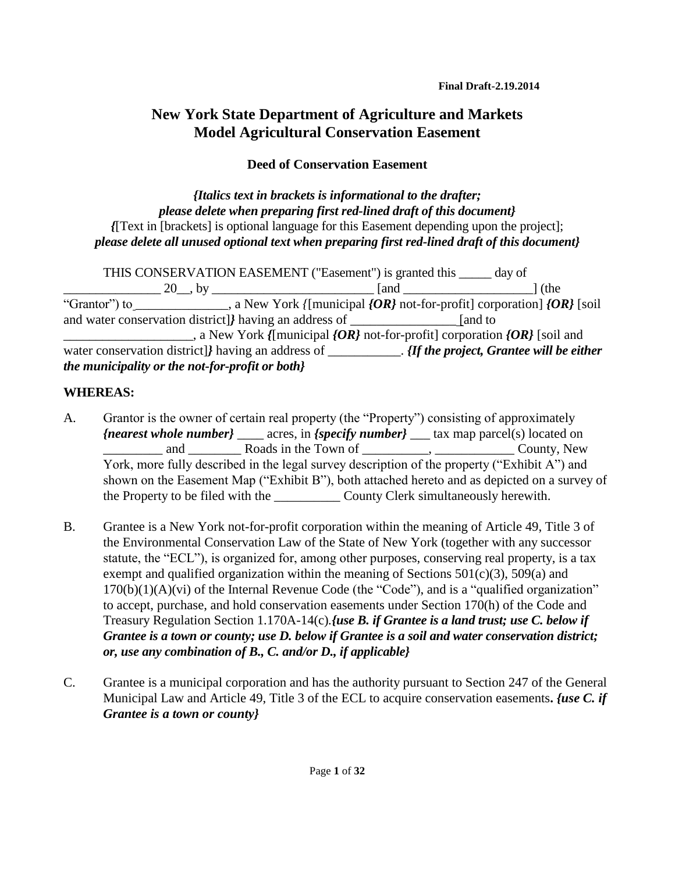# **New York State Department of Agriculture and Markets Model Agricultural Conservation Easement**

## **Deed of Conservation Easement**

### *{Italics text in brackets is informational to the drafter; please delete when preparing first red-lined draft of this document} {*[Text in [brackets] is optional language for this Easement depending upon the project]; *please delete all unused optional text when preparing first red-lined draft of this document}*

THIS CONSERVATION EASEMENT ("Easement") is granted this \_\_\_\_\_ day of \_\_\_\_\_\_\_\_\_\_\_\_\_\_\_ 20\_\_, by \_\_\_\_\_\_\_\_\_\_\_\_\_\_\_\_\_\_\_\_\_\_\_\_\_ [and \_\_\_\_\_\_\_\_\_\_\_\_\_\_\_\_\_\_\_\_] (the "Grantor") to \_\_\_\_\_\_\_\_, a New York *{*[municipal *{OR}* not-for-profit] corporation] *{OR}* [soil] and water conservation district]*}* having an address of \_\_\_\_\_\_\_\_\_\_\_\_\_\_\_\_ [and to a New York *{*[municipal *{OR}* not-for-profit] corporation *{OR}* [soil and water conservation district]*}* having an address of \_\_\_\_\_\_\_\_\_\_. *{If the project, Grantee will be either the municipality or the not-for-profit or both}*

## **WHEREAS:**

- A. Grantor is the owner of certain real property (the "Property") consisting of approximately *{nearest whole number}* \_\_\_\_ acres, in *{specify number}* \_\_\_ tax map parcel(s) located on and and **Roads** in the Town of the Sounty, New County, New  $\alpha$ York, more fully described in the legal survey description of the property ("Exhibit A") and shown on the Easement Map ("Exhibit B"), both attached hereto and as depicted on a survey of the Property to be filed with the \_\_\_\_\_\_\_\_\_\_ County Clerk simultaneously herewith.
- B. Grantee is a New York not-for-profit corporation within the meaning of Article 49, Title 3 of the Environmental Conservation Law of the State of New York (together with any successor statute, the "ECL"), is organized for, among other purposes, conserving real property, is a tax exempt and qualified organization within the meaning of Sections  $501(c)(3)$ ,  $509(a)$  and  $170(b)(1)(A)(vi)$  of the Internal Revenue Code (the "Code"), and is a "qualified organization" to accept, purchase, and hold conservation easements under Section 170(h) of the Code and Treasury Regulation Section 1.170A-14(c)*.{use B. if Grantee is a land trust; use C. below if Grantee is a town or county; use D. below if Grantee is a soil and water conservation district; or, use any combination of B., C. and/or D., if applicable}*
- C. Grantee is a municipal corporation and has the authority pursuant to Section 247 of the General Municipal Law and Article 49, Title 3 of the ECL to acquire conservation easements**.** *{use C. if Grantee is a town or county}*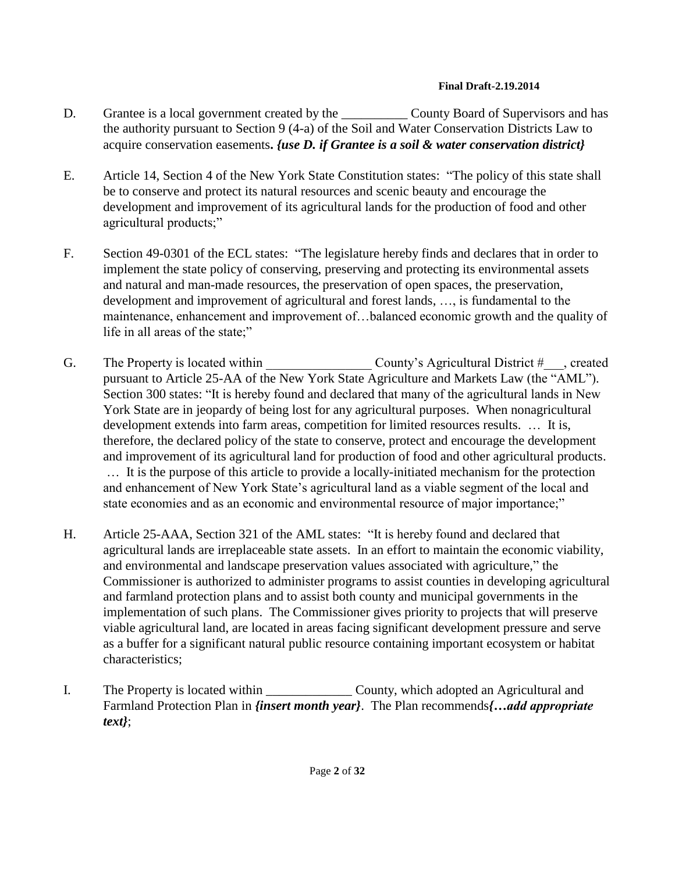- D. Grantee is a local government created by the County Board of Supervisors and has the authority pursuant to Section 9 (4-a) of the Soil and Water Conservation Districts Law to acquire conservation easements**.** *{use D. if Grantee is a soil & water conservation district}*
- E. Article 14, Section 4 of the New York State Constitution states: "The policy of this state shall be to conserve and protect its natural resources and scenic beauty and encourage the development and improvement of its agricultural lands for the production of food and other agricultural products;"
- F. Section 49-0301 of the ECL states: "The legislature hereby finds and declares that in order to implement the state policy of conserving, preserving and protecting its environmental assets and natural and man-made resources, the preservation of open spaces, the preservation, development and improvement of agricultural and forest lands, …, is fundamental to the maintenance, enhancement and improvement of…balanced economic growth and the quality of life in all areas of the state;"
- G. The Property is located within  $\qquad \qquad \text{County's Agricultural District } \#$ , created pursuant to Article 25-AA of the New York State Agriculture and Markets Law (the "AML"). Section 300 states: "It is hereby found and declared that many of the agricultural lands in New York State are in jeopardy of being lost for any agricultural purposes. When nonagricultural development extends into farm areas, competition for limited resources results. … It is, therefore, the declared policy of the state to conserve, protect and encourage the development and improvement of its agricultural land for production of food and other agricultural products. … It is the purpose of this article to provide a locally-initiated mechanism for the protection and enhancement of New York State's agricultural land as a viable segment of the local and state economies and as an economic and environmental resource of major importance;"
- H. Article 25-AAA, Section 321 of the AML states: "It is hereby found and declared that agricultural lands are irreplaceable state assets. In an effort to maintain the economic viability, and environmental and landscape preservation values associated with agriculture," the Commissioner is authorized to administer programs to assist counties in developing agricultural and farmland protection plans and to assist both county and municipal governments in the implementation of such plans. The Commissioner gives priority to projects that will preserve viable agricultural land, are located in areas facing significant development pressure and serve as a buffer for a significant natural public resource containing important ecosystem or habitat characteristics;
- I. The Property is located within County, which adopted an Agricultural and Farmland Protection Plan in *{insert month year}*. The Plan recommends*{…add appropriate text}*;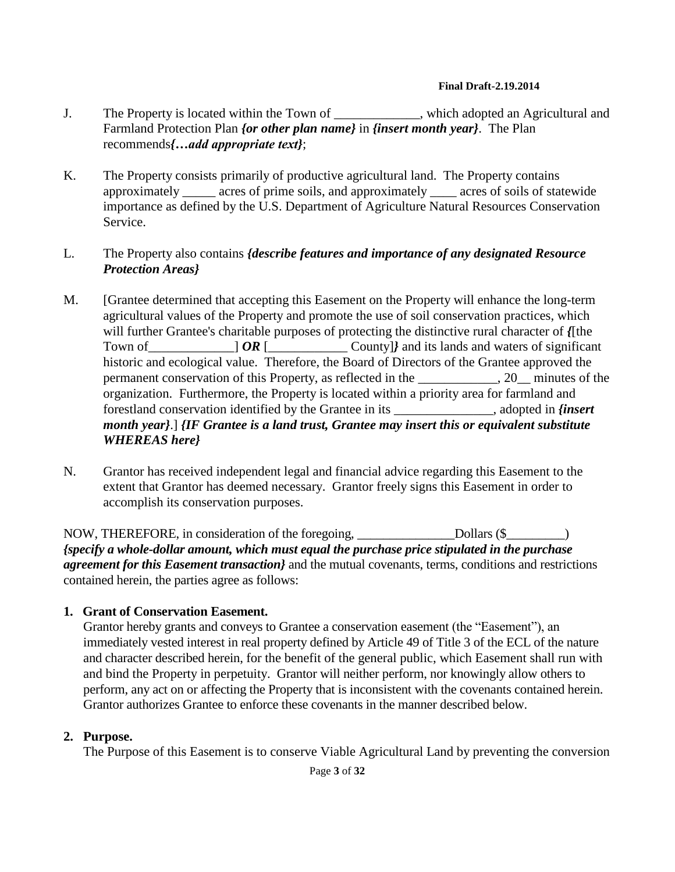- J. The Property is located within the Town of \_\_\_\_\_\_\_\_\_\_\_\_\_, which adopted an Agricultural and Farmland Protection Plan *{or other plan name}* in *{insert month year}*. The Plan recommends*{…add appropriate text}*;
- K. The Property consists primarily of productive agricultural land. The Property contains approximately \_\_\_\_\_ acres of prime soils, and approximately \_\_\_\_ acres of soils of statewide importance as defined by the U.S. Department of Agriculture Natural Resources Conservation Service.

### L. The Property also contains *{describe features and importance of any designated Resource Protection Areas}*

- M. [Grantee determined that accepting this Easement on the Property will enhance the long-term agricultural values of the Property and promote the use of soil conservation practices, which will further Grantee's charitable purposes of protecting the distinctive rural character of *{*[the Town of  $\overline{OR}$   $\overline{OR}$   $\overline{OR}$   $\overline{OR}$   $\overline{O}$  County]*}* and its lands and waters of significant historic and ecological value. Therefore, the Board of Directors of the Grantee approved the permanent conservation of this Property, as reflected in the \_\_\_\_\_\_\_\_\_\_\_\_, 20\_\_ minutes of the organization. Furthermore, the Property is located within a priority area for farmland and forestland conservation identified by the Grantee in its \_\_\_\_\_\_\_\_\_\_\_\_\_\_\_, adopted in *{insert month year}*.] *{IF Grantee is a land trust, Grantee may insert this or equivalent substitute WHEREAS here}*
- N. Grantor has received independent legal and financial advice regarding this Easement to the extent that Grantor has deemed necessary. Grantor freely signs this Easement in order to accomplish its conservation purposes.

NOW, THEREFORE, in consideration of the foregoing, Dollars (\$ Dollars (\$ *{specify a whole-dollar amount, which must equal the purchase price stipulated in the purchase agreement for this Easement transaction}* and the mutual covenants, terms, conditions and restrictions contained herein, the parties agree as follows:

### **1. Grant of Conservation Easement.**

Grantor hereby grants and conveys to Grantee a conservation easement (the "Easement"), an immediately vested interest in real property defined by Article 49 of Title 3 of the ECL of the nature and character described herein, for the benefit of the general public, which Easement shall run with and bind the Property in perpetuity. Grantor will neither perform, nor knowingly allow others to perform, any act on or affecting the Property that is inconsistent with the covenants contained herein. Grantor authorizes Grantee to enforce these covenants in the manner described below.

### **2. Purpose.**

The Purpose of this Easement is to conserve Viable Agricultural Land by preventing the conversion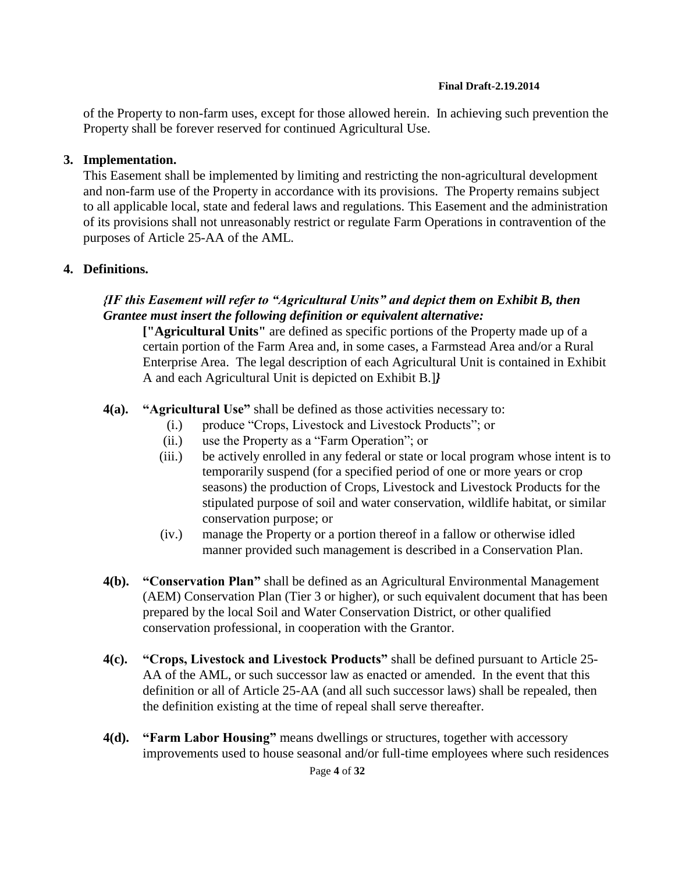of the Property to non-farm uses, except for those allowed herein. In achieving such prevention the Property shall be forever reserved for continued Agricultural Use.

### **3. Implementation.**

This Easement shall be implemented by limiting and restricting the non-agricultural development and non-farm use of the Property in accordance with its provisions. The Property remains subject to all applicable local, state and federal laws and regulations. This Easement and the administration of its provisions shall not unreasonably restrict or regulate Farm Operations in contravention of the purposes of Article 25-AA of the AML.

## **4. Definitions.**

## *{IF this Easement will refer to "Agricultural Units" and depict them on Exhibit B, then Grantee must insert the following definition or equivalent alternative:*

**["Agricultural Units"** are defined as specific portions of the Property made up of a certain portion of the Farm Area and, in some cases, a Farmstead Area and/or a Rural Enterprise Area. The legal description of each Agricultural Unit is contained in Exhibit A and each Agricultural Unit is depicted on Exhibit B.]*}*

- **4(a). "Agricultural Use"** shall be defined as those activities necessary to:
	- (i.) produce "Crops, Livestock and Livestock Products"; or
	- (ii.) use the Property as a "Farm Operation"; or
	- (iii.) be actively enrolled in any federal or state or local program whose intent is to temporarily suspend (for a specified period of one or more years or crop seasons) the production of Crops, Livestock and Livestock Products for the stipulated purpose of soil and water conservation, wildlife habitat, or similar conservation purpose; or
	- (iv.) manage the Property or a portion thereof in a fallow or otherwise idled manner provided such management is described in a Conservation Plan.
- **4(b). "Conservation Plan"** shall be defined as an Agricultural Environmental Management (AEM) Conservation Plan (Tier 3 or higher), or such equivalent document that has been prepared by the local Soil and Water Conservation District, or other qualified conservation professional, in cooperation with the Grantor.
- **4(c). "Crops, Livestock and Livestock Products"** shall be defined pursuant to Article 25- AA of the AML, or such successor law as enacted or amended. In the event that this definition or all of Article 25-AA (and all such successor laws) shall be repealed, then the definition existing at the time of repeal shall serve thereafter.
- **4(d). "Farm Labor Housing"** means dwellings or structures, together with accessory improvements used to house seasonal and/or full-time employees where such residences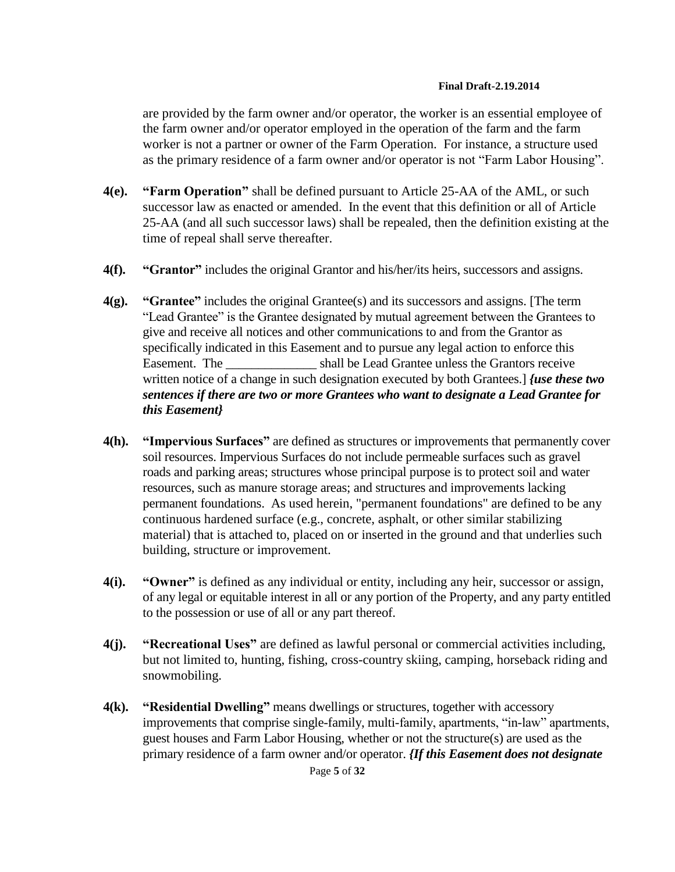are provided by the farm owner and/or operator, the worker is an essential employee of the farm owner and/or operator employed in the operation of the farm and the farm worker is not a partner or owner of the Farm Operation. For instance, a structure used as the primary residence of a farm owner and/or operator is not "Farm Labor Housing".

- **4(e). "Farm Operation"** shall be defined pursuant to Article 25-AA of the AML, or such successor law as enacted or amended. In the event that this definition or all of Article 25-AA (and all such successor laws) shall be repealed, then the definition existing at the time of repeal shall serve thereafter.
- **4(f). "Grantor"** includes the original Grantor and his/her/its heirs, successors and assigns.
- **4(g). "Grantee"** includes the original Grantee(s) and its successors and assigns. [The term "Lead Grantee" is the Grantee designated by mutual agreement between the Grantees to give and receive all notices and other communications to and from the Grantor as specifically indicated in this Easement and to pursue any legal action to enforce this Easement. The \_\_\_\_\_\_\_\_\_\_\_\_\_\_ shall be Lead Grantee unless the Grantors receive written notice of a change in such designation executed by both Grantees.] *{use these two sentences if there are two or more Grantees who want to designate a Lead Grantee for this Easement}*
- **4(h). "Impervious Surfaces"** are defined as structures or improvements that permanently cover soil resources. Impervious Surfaces do not include permeable surfaces such as gravel roads and parking areas; structures whose principal purpose is to protect soil and water resources, such as manure storage areas; and structures and improvements lacking permanent foundations. As used herein, "permanent foundations" are defined to be any continuous hardened surface (e.g., concrete, asphalt, or other similar stabilizing material) that is attached to, placed on or inserted in the ground and that underlies such building, structure or improvement.
- **4(i). "Owner"** is defined as any individual or entity, including any heir, successor or assign, of any legal or equitable interest in all or any portion of the Property, and any party entitled to the possession or use of all or any part thereof.
- **4(j). "Recreational Uses"** are defined as lawful personal or commercial activities including, but not limited to, hunting, fishing, cross-country skiing, camping, horseback riding and snowmobiling.
- **4(k). "Residential Dwelling"** means dwellings or structures, together with accessory improvements that comprise single-family, multi-family, apartments, "in-law" apartments, guest houses and Farm Labor Housing, whether or not the structure(s) are used as the primary residence of a farm owner and/or operator. *{If this Easement does not designate*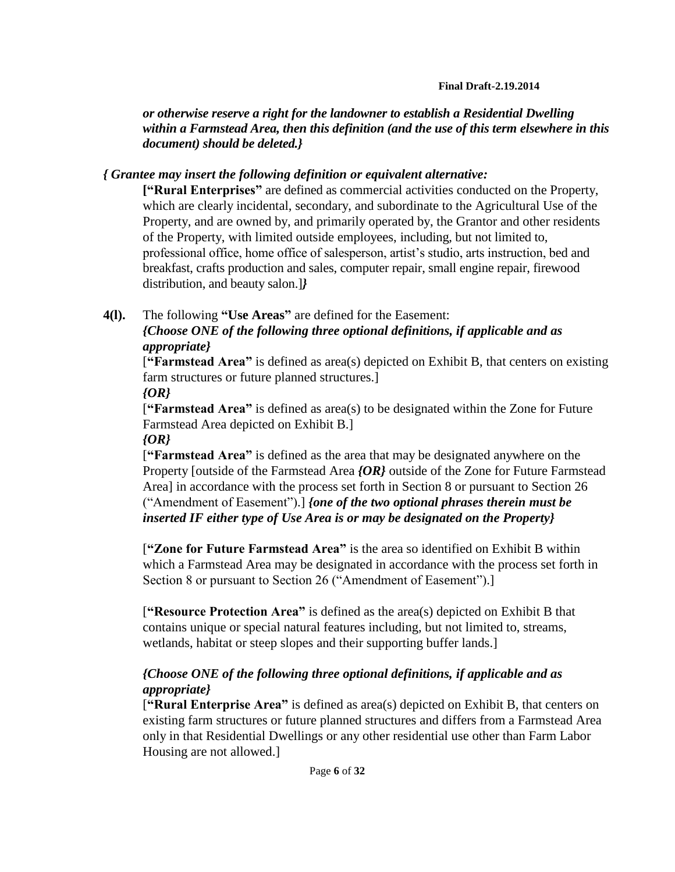*or otherwise reserve a right for the landowner to establish a Residential Dwelling within a Farmstead Area, then this definition (and the use of this term elsewhere in this document) should be deleted.}*

## *{ Grantee may insert the following definition or equivalent alternative:*

**["Rural Enterprises"** are defined as commercial activities conducted on the Property, which are clearly incidental, secondary, and subordinate to the Agricultural Use of the Property, and are owned by, and primarily operated by, the Grantor and other residents of the Property, with limited outside employees, including, but not limited to, professional office, home office of salesperson, artist's studio, arts instruction, bed and breakfast, crafts production and sales, computer repair, small engine repair, firewood distribution, and beauty salon.]*}*

## **4(l).** The following **"Use Areas"** are defined for the Easement:

## *{Choose ONE of the following three optional definitions, if applicable and as appropriate}*

[**"Farmstead Area"** is defined as area(s) depicted on Exhibit B, that centers on existing farm structures or future planned structures.]

### *{OR}*

[**"Farmstead Area"** is defined as area(s) to be designated within the Zone for Future Farmstead Area depicted on Exhibit B.]

### *{OR}*

[**"Farmstead Area"** is defined as the area that may be designated anywhere on the Property [outside of the Farmstead Area *{OR}* outside of the Zone for Future Farmstead Area] in accordance with the process set forth in Section 8 or pursuant to Section 26 ("Amendment of Easement").] *{one of the two optional phrases therein must be inserted IF either type of Use Area is or may be designated on the Property}*

[**"Zone for Future Farmstead Area"** is the area so identified on Exhibit B within which a Farmstead Area may be designated in accordance with the process set forth in Section 8 or pursuant to Section 26 ("Amendment of Easement").]

[**"Resource Protection Area"** is defined as the area(s) depicted on Exhibit B that contains unique or special natural features including, but not limited to, streams, wetlands, habitat or steep slopes and their supporting buffer lands.]

## *{Choose ONE of the following three optional definitions, if applicable and as appropriate}*

[**"Rural Enterprise Area"** is defined as area(s) depicted on Exhibit B, that centers on existing farm structures or future planned structures and differs from a Farmstead Area only in that Residential Dwellings or any other residential use other than Farm Labor Housing are not allowed.]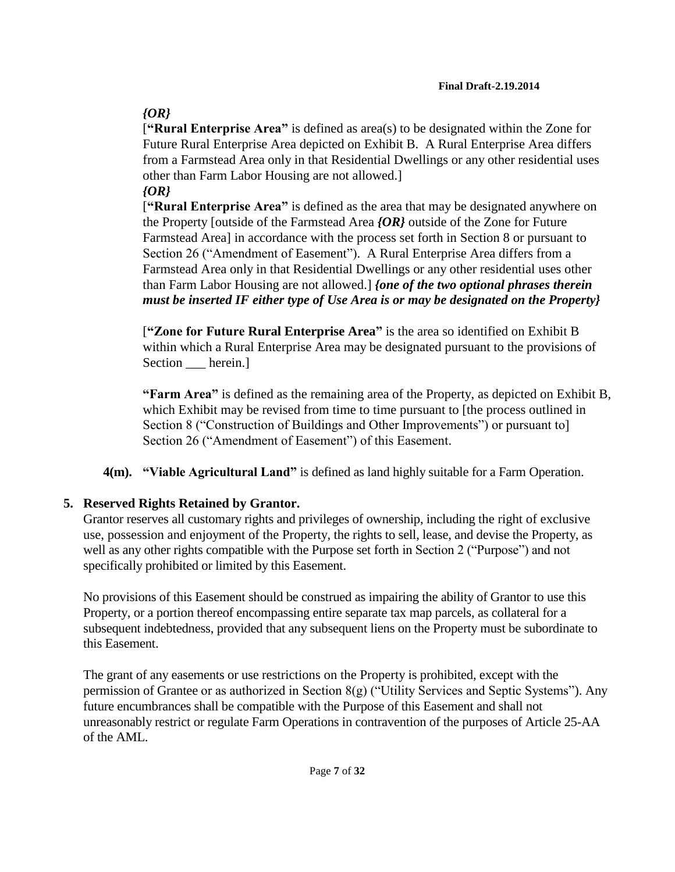# *{OR}*

[**"Rural Enterprise Area"** is defined as area(s) to be designated within the Zone for Future Rural Enterprise Area depicted on Exhibit B. A Rural Enterprise Area differs from a Farmstead Area only in that Residential Dwellings or any other residential uses other than Farm Labor Housing are not allowed.]

## *{OR}*

[**"Rural Enterprise Area"** is defined as the area that may be designated anywhere on the Property [outside of the Farmstead Area *{OR}* outside of the Zone for Future Farmstead Area] in accordance with the process set forth in Section 8 or pursuant to Section 26 ("Amendment of Easement"). A Rural Enterprise Area differs from a Farmstead Area only in that Residential Dwellings or any other residential uses other than Farm Labor Housing are not allowed.] *{one of the two optional phrases therein must be inserted IF either type of Use Area is or may be designated on the Property}*

[**"Zone for Future Rural Enterprise Area"** is the area so identified on Exhibit B within which a Rural Enterprise Area may be designated pursuant to the provisions of Section herein.]

**"Farm Area"** is defined as the remaining area of the Property, as depicted on Exhibit B, which Exhibit may be revised from time to time pursuant to [the process outlined in Section 8 ("Construction of Buildings and Other Improvements") or pursuant to] Section 26 ("Amendment of Easement") of this Easement.

**4(m). "Viable Agricultural Land"** is defined as land highly suitable for a Farm Operation.

# **5. Reserved Rights Retained by Grantor.**

Grantor reserves all customary rights and privileges of ownership, including the right of exclusive use, possession and enjoyment of the Property, the rights to sell, lease, and devise the Property, as well as any other rights compatible with the Purpose set forth in Section 2 ("Purpose") and not specifically prohibited or limited by this Easement.

No provisions of this Easement should be construed as impairing the ability of Grantor to use this Property, or a portion thereof encompassing entire separate tax map parcels, as collateral for a subsequent indebtedness, provided that any subsequent liens on the Property must be subordinate to this Easement.

The grant of any easements or use restrictions on the Property is prohibited, except with the permission of Grantee or as authorized in Section 8(g) ("Utility Services and Septic Systems"). Any future encumbrances shall be compatible with the Purpose of this Easement and shall not unreasonably restrict or regulate Farm Operations in contravention of the purposes of Article 25-AA of the AML.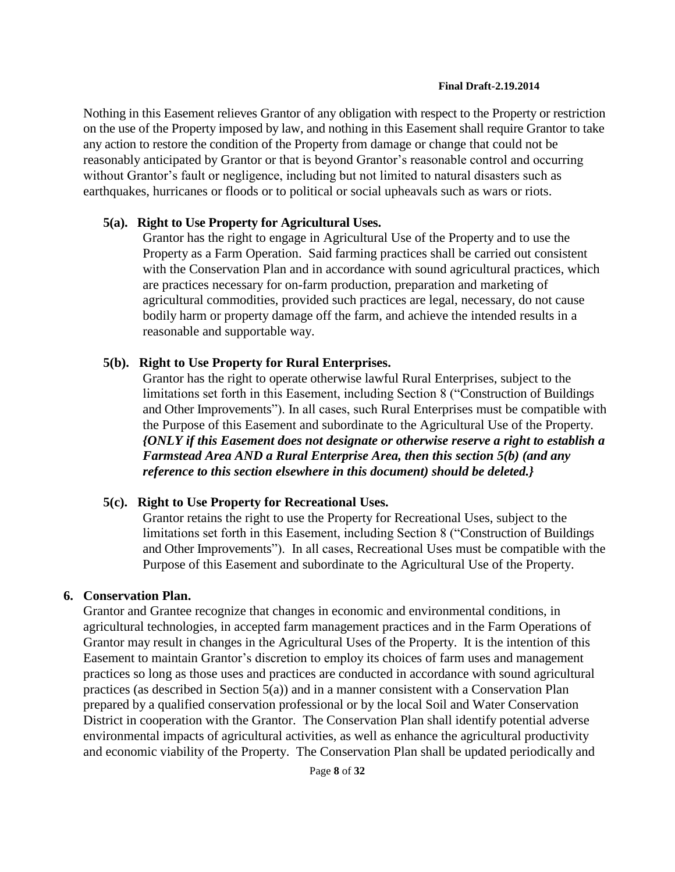Nothing in this Easement relieves Grantor of any obligation with respect to the Property or restriction on the use of the Property imposed by law, and nothing in this Easement shall require Grantor to take any action to restore the condition of the Property from damage or change that could not be reasonably anticipated by Grantor or that is beyond Grantor's reasonable control and occurring without Grantor's fault or negligence, including but not limited to natural disasters such as earthquakes, hurricanes or floods or to political or social upheavals such as wars or riots.

### **5(a). Right to Use Property for Agricultural Uses.**

Grantor has the right to engage in Agricultural Use of the Property and to use the Property as a Farm Operation. Said farming practices shall be carried out consistent with the Conservation Plan and in accordance with sound agricultural practices, which are practices necessary for on-farm production, preparation and marketing of agricultural commodities, provided such practices are legal, necessary, do not cause bodily harm or property damage off the farm, and achieve the intended results in a reasonable and supportable way.

### **5(b). Right to Use Property for Rural Enterprises.**

Grantor has the right to operate otherwise lawful Rural Enterprises, subject to the limitations set forth in this Easement, including Section 8 ("Construction of Buildings and Other Improvements"). In all cases, such Rural Enterprises must be compatible with the Purpose of this Easement and subordinate to the Agricultural Use of the Property. *{ONLY if this Easement does not designate or otherwise reserve a right to establish a Farmstead Area AND a Rural Enterprise Area, then this section 5(b) (and any reference to this section elsewhere in this document) should be deleted.}*

### **5(c). Right to Use Property for Recreational Uses.**

Grantor retains the right to use the Property for Recreational Uses, subject to the limitations set forth in this Easement, including Section 8 ("Construction of Buildings and Other Improvements"). In all cases, Recreational Uses must be compatible with the Purpose of this Easement and subordinate to the Agricultural Use of the Property.

### **6. Conservation Plan.**

Grantor and Grantee recognize that changes in economic and environmental conditions, in agricultural technologies, in accepted farm management practices and in the Farm Operations of Grantor may result in changes in the Agricultural Uses of the Property. It is the intention of this Easement to maintain Grantor's discretion to employ its choices of farm uses and management practices so long as those uses and practices are conducted in accordance with sound agricultural practices (as described in Section 5(a)) and in a manner consistent with a Conservation Plan prepared by a qualified conservation professional or by the local Soil and Water Conservation District in cooperation with the Grantor. The Conservation Plan shall identify potential adverse environmental impacts of agricultural activities, as well as enhance the agricultural productivity and economic viability of the Property. The Conservation Plan shall be updated periodically and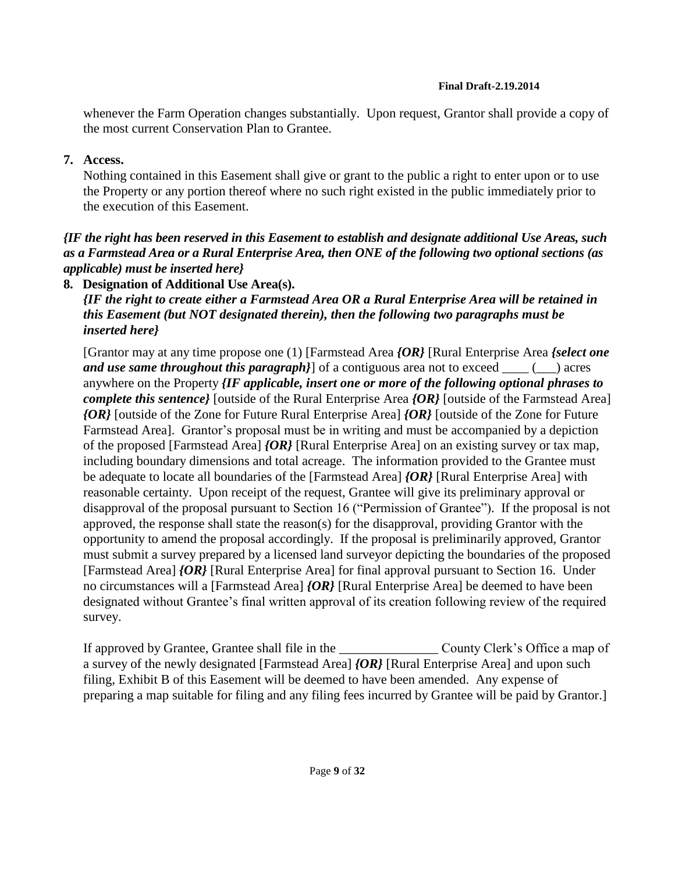whenever the Farm Operation changes substantially. Upon request, Grantor shall provide a copy of the most current Conservation Plan to Grantee.

## **7. Access.**

Nothing contained in this Easement shall give or grant to the public a right to enter upon or to use the Property or any portion thereof where no such right existed in the public immediately prior to the execution of this Easement.

## *{IF the right has been reserved in this Easement to establish and designate additional Use Areas, such as a Farmstead Area or a Rural Enterprise Area, then ONE of the following two optional sections (as applicable) must be inserted here}*

## **8. Designation of Additional Use Area(s).**

*{IF the right to create either a Farmstead Area OR a Rural Enterprise Area will be retained in this Easement (but NOT designated therein), then the following two paragraphs must be inserted here}*

[Grantor may at any time propose one (1) [Farmstead Area *{OR}* [Rural Enterprise Area *{select one and use same throughout this paragraph*}] of a contiguous area not to exceed \_\_\_\_ (\_\_) acres anywhere on the Property *{IF applicable, insert one or more of the following optional phrases to complete this sentence}* [outside of the Rural Enterprise Area *{OR}* [outside of the Farmstead Area] *{OR}* [outside of the Zone for Future Rural Enterprise Area] *{OR}* [outside of the Zone for Future Farmstead Area]. Grantor's proposal must be in writing and must be accompanied by a depiction of the proposed [Farmstead Area] *{OR}* [Rural Enterprise Area] on an existing survey or tax map, including boundary dimensions and total acreage. The information provided to the Grantee must be adequate to locate all boundaries of the [Farmstead Area] *{OR}* [Rural Enterprise Area] with reasonable certainty. Upon receipt of the request, Grantee will give its preliminary approval or disapproval of the proposal pursuant to Section 16 ("Permission of Grantee"). If the proposal is not approved, the response shall state the reason(s) for the disapproval, providing Grantor with the opportunity to amend the proposal accordingly. If the proposal is preliminarily approved, Grantor must submit a survey prepared by a licensed land surveyor depicting the boundaries of the proposed [Farmstead Area] *{OR}* [Rural Enterprise Area] for final approval pursuant to Section 16. Under no circumstances will a [Farmstead Area] *{OR}* [Rural Enterprise Area] be deemed to have been designated without Grantee's final written approval of its creation following review of the required survey.

If approved by Grantee, Grantee shall file in the \_\_\_\_\_\_\_\_\_\_\_\_\_\_\_ County Clerk's Office a map of a survey of the newly designated [Farmstead Area] *{OR}* [Rural Enterprise Area] and upon such filing, Exhibit B of this Easement will be deemed to have been amended. Any expense of preparing a map suitable for filing and any filing fees incurred by Grantee will be paid by Grantor.]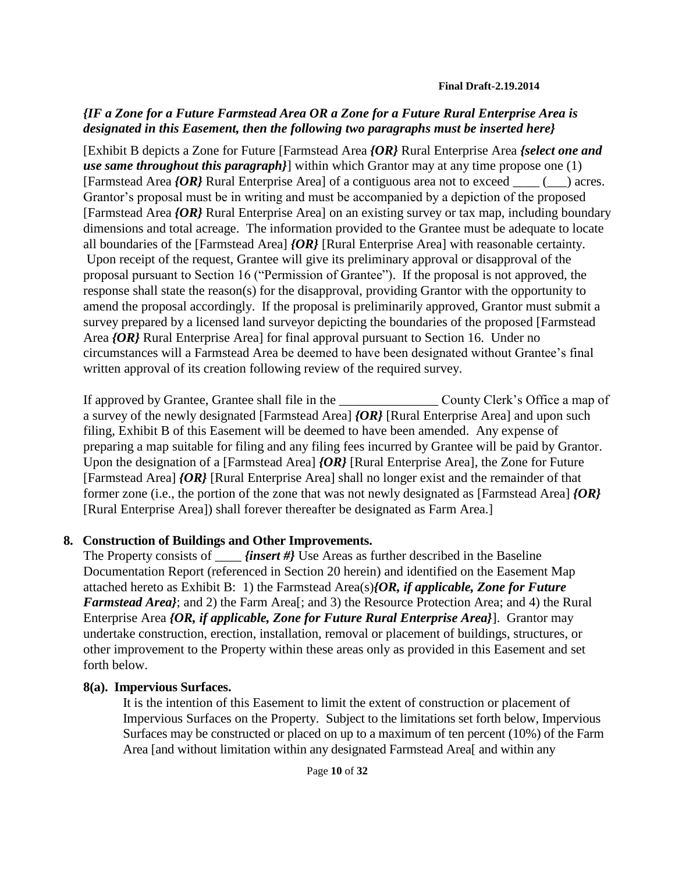## *{IF a Zone for a Future Farmstead Area OR a Zone for a Future Rural Enterprise Area is designated in this Easement, then the following two paragraphs must be inserted here}*

[Exhibit B depicts a Zone for Future [Farmstead Area *{OR}* Rural Enterprise Area *{select one and use same throughout this paragraph}*] within which Grantor may at any time propose one (1) [Farmstead Area *{OR}* Rural Enterprise Area] of a contiguous area not to exceed \_\_\_\_ (\_\_\_) acres. Grantor's proposal must be in writing and must be accompanied by a depiction of the proposed [Farmstead Area *{OR}* Rural Enterprise Area] on an existing survey or tax map, including boundary dimensions and total acreage. The information provided to the Grantee must be adequate to locate all boundaries of the [Farmstead Area] *{OR}* [Rural Enterprise Area] with reasonable certainty. Upon receipt of the request, Grantee will give its preliminary approval or disapproval of the proposal pursuant to Section 16 ("Permission of Grantee"). If the proposal is not approved, the response shall state the reason(s) for the disapproval, providing Grantor with the opportunity to amend the proposal accordingly. If the proposal is preliminarily approved, Grantor must submit a survey prepared by a licensed land surveyor depicting the boundaries of the proposed [Farmstead Area *{OR}* Rural Enterprise Area] for final approval pursuant to Section 16. Under no circumstances will a Farmstead Area be deemed to have been designated without Grantee's final written approval of its creation following review of the required survey.

If approved by Grantee, Grantee shall file in the \_\_\_\_\_\_\_\_\_\_\_\_\_\_\_ County Clerk's Office a map of a survey of the newly designated [Farmstead Area] *{OR}* [Rural Enterprise Area] and upon such filing, Exhibit B of this Easement will be deemed to have been amended. Any expense of preparing a map suitable for filing and any filing fees incurred by Grantee will be paid by Grantor. Upon the designation of a [Farmstead Area] *{OR}* [Rural Enterprise Area], the Zone for Future [Farmstead Area] *{OR}* [Rural Enterprise Area] shall no longer exist and the remainder of that former zone (i.e., the portion of the zone that was not newly designated as [Farmstead Area] *{OR}* [Rural Enterprise Area]) shall forever thereafter be designated as Farm Area.]

### **8. Construction of Buildings and Other Improvements.**

The Property consists of *\_\_\_\_\_ {insert #}* Use Areas as further described in the Baseline Documentation Report (referenced in Section 20 herein) and identified on the Easement Map attached hereto as Exhibit B: 1) the Farmstead Area(s)*{OR, if applicable, Zone for Future Farmstead Area}*; and 2) the Farm Area[; and 3) the Resource Protection Area; and 4) the Rural Enterprise Area *{OR, if applicable, Zone for Future Rural Enterprise Area}*]. Grantor may undertake construction, erection, installation, removal or placement of buildings, structures, or other improvement to the Property within these areas only as provided in this Easement and set forth below.

### **8(a). Impervious Surfaces.**

It is the intention of this Easement to limit the extent of construction or placement of Impervious Surfaces on the Property. Subject to the limitations set forth below, Impervious Surfaces may be constructed or placed on up to a maximum of ten percent (10%) of the Farm Area [and without limitation within any designated Farmstead Area[ and within any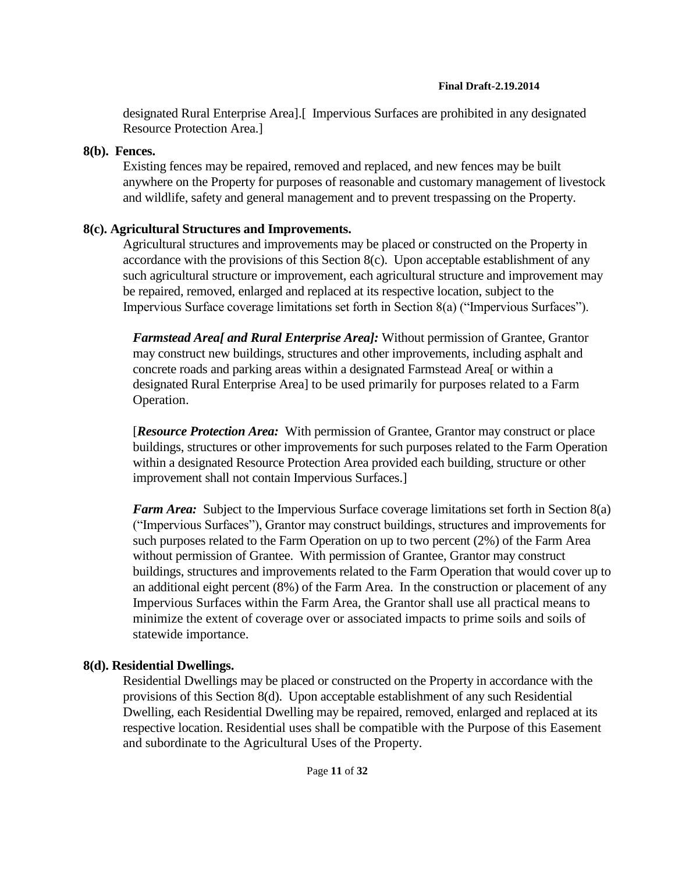designated Rural Enterprise Area].[ Impervious Surfaces are prohibited in any designated Resource Protection Area.]

### **8(b). Fences.**

Existing fences may be repaired, removed and replaced, and new fences may be built anywhere on the Property for purposes of reasonable and customary management of livestock and wildlife, safety and general management and to prevent trespassing on the Property.

## **8(c). Agricultural Structures and Improvements.**

Agricultural structures and improvements may be placed or constructed on the Property in accordance with the provisions of this Section 8(c). Upon acceptable establishment of any such agricultural structure or improvement, each agricultural structure and improvement may be repaired, removed, enlarged and replaced at its respective location, subject to the Impervious Surface coverage limitations set forth in Section 8(a) ("Impervious Surfaces").

*Farmstead Area[ and Rural Enterprise Area]:* Without permission of Grantee, Grantor may construct new buildings, structures and other improvements, including asphalt and concrete roads and parking areas within a designated Farmstead Area[ or within a designated Rural Enterprise Area] to be used primarily for purposes related to a Farm Operation.

[*Resource Protection Area:* With permission of Grantee, Grantor may construct or place buildings, structures or other improvements for such purposes related to the Farm Operation within a designated Resource Protection Area provided each building, structure or other improvement shall not contain Impervious Surfaces.]

*Farm Area:* Subject to the Impervious Surface coverage limitations set forth in Section 8(a) ("Impervious Surfaces"), Grantor may construct buildings, structures and improvements for such purposes related to the Farm Operation on up to two percent (2%) of the Farm Area without permission of Grantee. With permission of Grantee, Grantor may construct buildings, structures and improvements related to the Farm Operation that would cover up to an additional eight percent (8%) of the Farm Area. In the construction or placement of any Impervious Surfaces within the Farm Area, the Grantor shall use all practical means to minimize the extent of coverage over or associated impacts to prime soils and soils of statewide importance.

## **8(d). Residential Dwellings.**

Residential Dwellings may be placed or constructed on the Property in accordance with the provisions of this Section 8(d). Upon acceptable establishment of any such Residential Dwelling, each Residential Dwelling may be repaired, removed, enlarged and replaced at its respective location. Residential uses shall be compatible with the Purpose of this Easement and subordinate to the Agricultural Uses of the Property.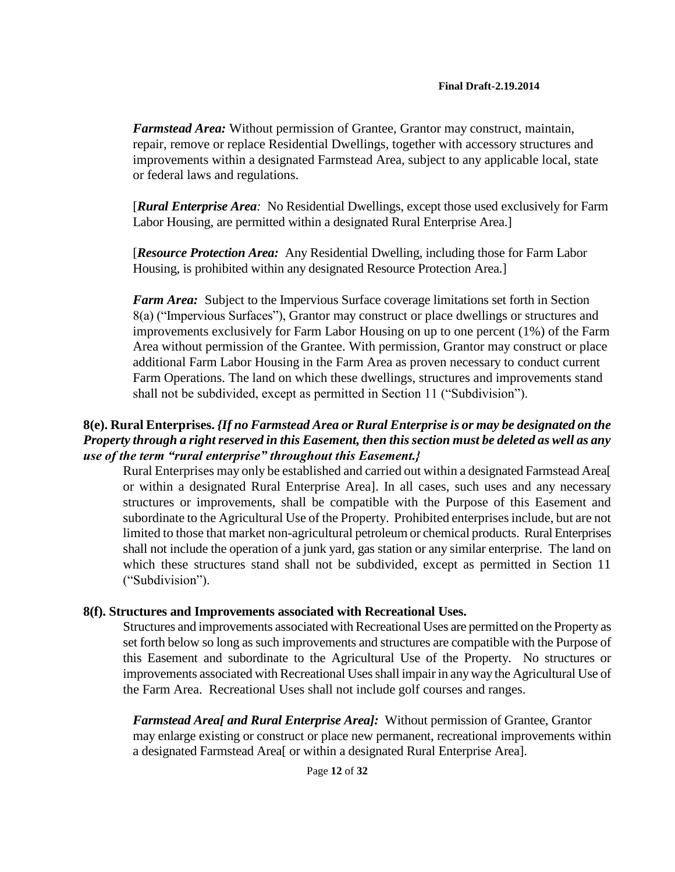*Farmstead Area:* Without permission of Grantee, Grantor may construct, maintain, repair, remove or replace Residential Dwellings, together with accessory structures and improvements within a designated Farmstead Area, subject to any applicable local, state or federal laws and regulations.

[*Rural Enterprise Area:* No Residential Dwellings, except those used exclusively for Farm Labor Housing, are permitted within a designated Rural Enterprise Area.]

[*Resource Protection Area:* Any Residential Dwelling, including those for Farm Labor Housing, is prohibited within any designated Resource Protection Area.]

*Farm Area:* Subject to the Impervious Surface coverage limitations set forth in Section 8(a) ("Impervious Surfaces"), Grantor may construct or place dwellings or structures and improvements exclusively for Farm Labor Housing on up to one percent (1%) of the Farm Area without permission of the Grantee. With permission, Grantor may construct or place additional Farm Labor Housing in the Farm Area as proven necessary to conduct current Farm Operations. The land on which these dwellings, structures and improvements stand shall not be subdivided, except as permitted in Section 11 ("Subdivision").

### **8(e). Rural Enterprises.** *{If no Farmstead Area or Rural Enterprise is or may be designated on the Property through a right reserved in this Easement, then this section must be deleted as well as any use of the term "rural enterprise" throughout this Easement.}*

Rural Enterprises may only be established and carried out within a designated Farmstead Area[ or within a designated Rural Enterprise Area]. In all cases, such uses and any necessary structures or improvements, shall be compatible with the Purpose of this Easement and subordinate to the Agricultural Use of the Property. Prohibited enterprises include, but are not limited to those that market non-agricultural petroleum or chemical products. Rural Enterprises shall not include the operation of a junk yard, gas station or any similar enterprise. The land on which these structures stand shall not be subdivided, except as permitted in Section 11 ("Subdivision").

### **8(f). Structures and Improvements associated with Recreational Uses.**

Structures and improvements associated with Recreational Uses are permitted on the Property as set forth below so long as such improvements and structures are compatible with the Purpose of this Easement and subordinate to the Agricultural Use of the Property. No structures or improvements associated with Recreational Uses shall impair in any way the Agricultural Use of the Farm Area. Recreational Uses shall not include golf courses and ranges.

*Farmstead Area[ and Rural Enterprise Area]:* Without permission of Grantee, Grantor may enlarge existing or construct or place new permanent, recreational improvements within a designated Farmstead Area[ or within a designated Rural Enterprise Area].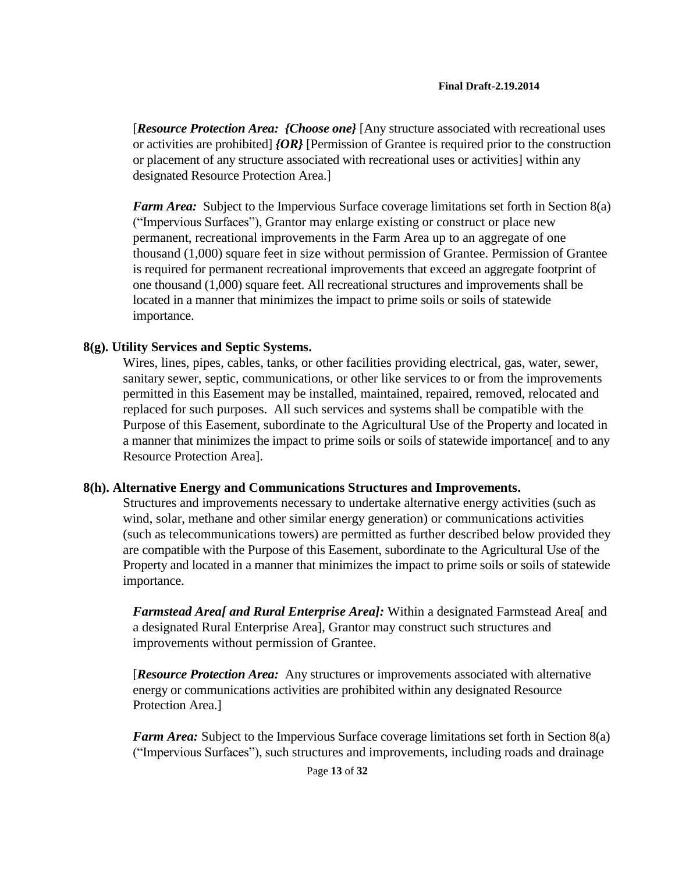[*Resource Protection Area: {Choose one}* [Any structure associated with recreational uses or activities are prohibited] *{OR}* [Permission of Grantee is required prior to the construction or placement of any structure associated with recreational uses or activities] within any designated Resource Protection Area.]

*Farm Area:* Subject to the Impervious Surface coverage limitations set forth in Section 8(a) ("Impervious Surfaces"), Grantor may enlarge existing or construct or place new permanent, recreational improvements in the Farm Area up to an aggregate of one thousand (1,000) square feet in size without permission of Grantee. Permission of Grantee is required for permanent recreational improvements that exceed an aggregate footprint of one thousand (1,000) square feet. All recreational structures and improvements shall be located in a manner that minimizes the impact to prime soils or soils of statewide importance.

### **8(g). Utility Services and Septic Systems.**

Wires, lines, pipes, cables, tanks, or other facilities providing electrical, gas, water, sewer, sanitary sewer, septic, communications, or other like services to or from the improvements permitted in this Easement may be installed, maintained, repaired, removed, relocated and replaced for such purposes. All such services and systems shall be compatible with the Purpose of this Easement, subordinate to the Agricultural Use of the Property and located in a manner that minimizes the impact to prime soils or soils of statewide importance[ and to any Resource Protection Area].

### **8(h). Alternative Energy and Communications Structures and Improvements.**

Structures and improvements necessary to undertake alternative energy activities (such as wind, solar, methane and other similar energy generation) or communications activities (such as telecommunications towers) are permitted as further described below provided they are compatible with the Purpose of this Easement, subordinate to the Agricultural Use of the Property and located in a manner that minimizes the impact to prime soils or soils of statewide importance.

*Farmstead Area[ and Rural Enterprise Area]:* Within a designated Farmstead Area[ and a designated Rural Enterprise Area], Grantor may construct such structures and improvements without permission of Grantee.

[*Resource Protection Area:* Any structures or improvements associated with alternative energy or communications activities are prohibited within any designated Resource Protection Area.]

*Farm Area:* Subject to the Impervious Surface coverage limitations set forth in Section 8(a) ("Impervious Surfaces"), such structures and improvements, including roads and drainage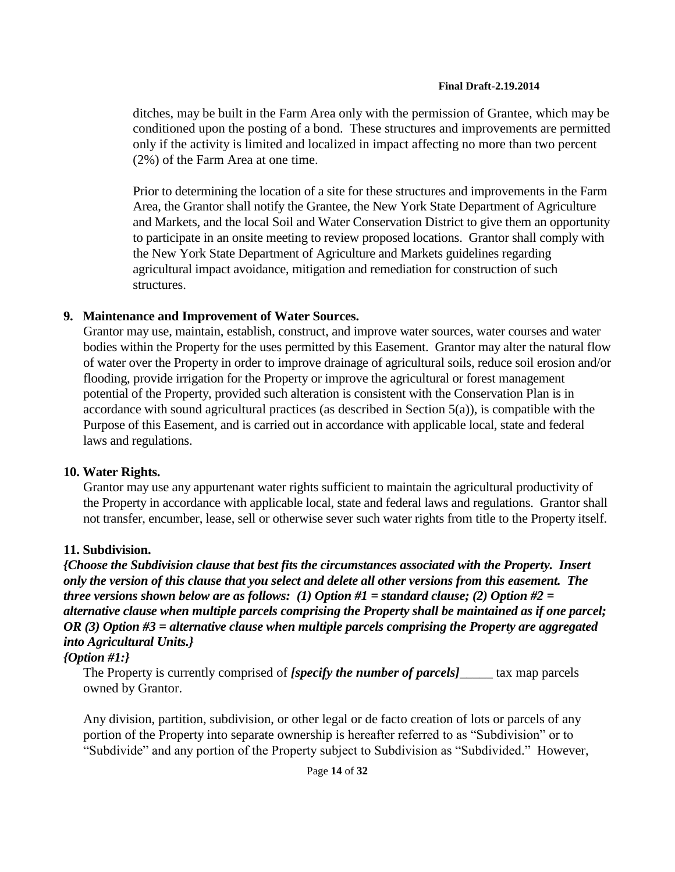ditches, may be built in the Farm Area only with the permission of Grantee, which may be conditioned upon the posting of a bond. These structures and improvements are permitted only if the activity is limited and localized in impact affecting no more than two percent (2%) of the Farm Area at one time.

Prior to determining the location of a site for these structures and improvements in the Farm Area, the Grantor shall notify the Grantee, the New York State Department of Agriculture and Markets, and the local Soil and Water Conservation District to give them an opportunity to participate in an onsite meeting to review proposed locations. Grantor shall comply with the New York State Department of Agriculture and Markets guidelines regarding agricultural impact avoidance, mitigation and remediation for construction of such structures.

### **9. Maintenance and Improvement of Water Sources.**

Grantor may use, maintain, establish, construct, and improve water sources, water courses and water bodies within the Property for the uses permitted by this Easement. Grantor may alter the natural flow of water over the Property in order to improve drainage of agricultural soils, reduce soil erosion and/or flooding, provide irrigation for the Property or improve the agricultural or forest management potential of the Property, provided such alteration is consistent with the Conservation Plan is in accordance with sound agricultural practices (as described in Section  $5(a)$ ), is compatible with the Purpose of this Easement, and is carried out in accordance with applicable local, state and federal laws and regulations.

### **10. Water Rights.**

Grantor may use any appurtenant water rights sufficient to maintain the agricultural productivity of the Property in accordance with applicable local, state and federal laws and regulations. Grantor shall not transfer, encumber, lease, sell or otherwise sever such water rights from title to the Property itself.

## **11. Subdivision.**

*{Choose the Subdivision clause that best fits the circumstances associated with the Property. Insert only the version of this clause that you select and delete all other versions from this easement. The three versions shown below are as follows: (1) Option #1 = standard clause; (2) Option #2 = alternative clause when multiple parcels comprising the Property shall be maintained as if one parcel; OR (3) Option #3 = alternative clause when multiple parcels comprising the Property are aggregated into Agricultural Units.}*

## *{Option #1:}*

The Property is currently comprised of *[specify the number of parcels]* tax map parcels owned by Grantor.

Any division, partition, subdivision, or other legal or de facto creation of lots or parcels of any portion of the Property into separate ownership is hereafter referred to as "Subdivision" or to "Subdivide" and any portion of the Property subject to Subdivision as "Subdivided." However,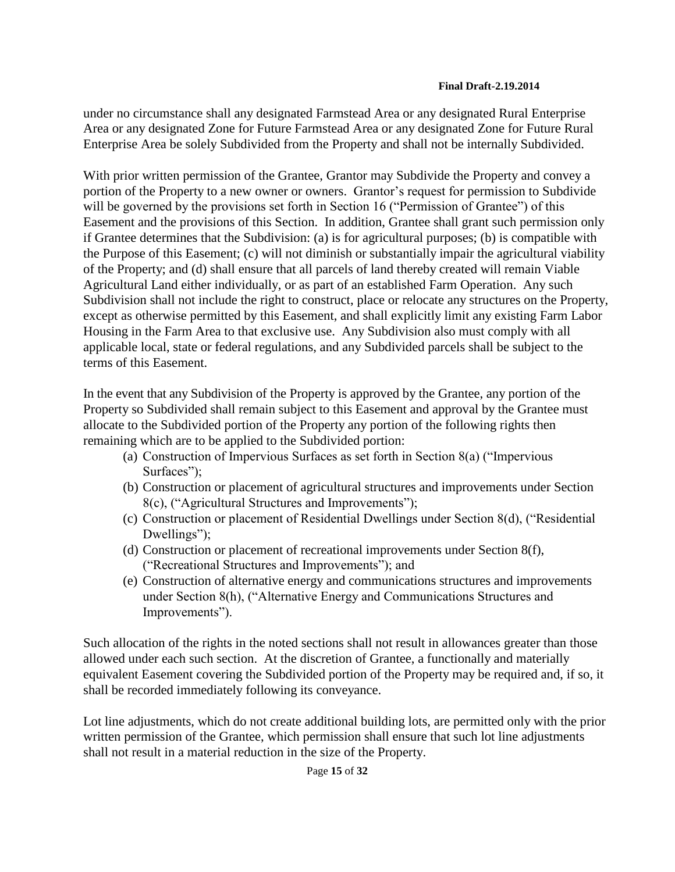under no circumstance shall any designated Farmstead Area or any designated Rural Enterprise Area or any designated Zone for Future Farmstead Area or any designated Zone for Future Rural Enterprise Area be solely Subdivided from the Property and shall not be internally Subdivided.

With prior written permission of the Grantee, Grantor may Subdivide the Property and convey a portion of the Property to a new owner or owners. Grantor's request for permission to Subdivide will be governed by the provisions set forth in Section 16 ("Permission of Grantee") of this Easement and the provisions of this Section. In addition, Grantee shall grant such permission only if Grantee determines that the Subdivision: (a) is for agricultural purposes; (b) is compatible with the Purpose of this Easement; (c) will not diminish or substantially impair the agricultural viability of the Property; and (d) shall ensure that all parcels of land thereby created will remain Viable Agricultural Land either individually, or as part of an established Farm Operation. Any such Subdivision shall not include the right to construct, place or relocate any structures on the Property, except as otherwise permitted by this Easement, and shall explicitly limit any existing Farm Labor Housing in the Farm Area to that exclusive use. Any Subdivision also must comply with all applicable local, state or federal regulations, and any Subdivided parcels shall be subject to the terms of this Easement.

In the event that any Subdivision of the Property is approved by the Grantee, any portion of the Property so Subdivided shall remain subject to this Easement and approval by the Grantee must allocate to the Subdivided portion of the Property any portion of the following rights then remaining which are to be applied to the Subdivided portion:

- (a) Construction of Impervious Surfaces as set forth in Section 8(a) ("Impervious Surfaces");
- (b) Construction or placement of agricultural structures and improvements under Section 8(c), ("Agricultural Structures and Improvements");
- (c) Construction or placement of Residential Dwellings under Section 8(d), ("Residential Dwellings");
- (d) Construction or placement of recreational improvements under Section 8(f), ("Recreational Structures and Improvements"); and
- (e) Construction of alternative energy and communications structures and improvements under Section 8(h), ("Alternative Energy and Communications Structures and Improvements").

Such allocation of the rights in the noted sections shall not result in allowances greater than those allowed under each such section. At the discretion of Grantee, a functionally and materially equivalent Easement covering the Subdivided portion of the Property may be required and, if so, it shall be recorded immediately following its conveyance.

Lot line adjustments, which do not create additional building lots, are permitted only with the prior written permission of the Grantee, which permission shall ensure that such lot line adjustments shall not result in a material reduction in the size of the Property.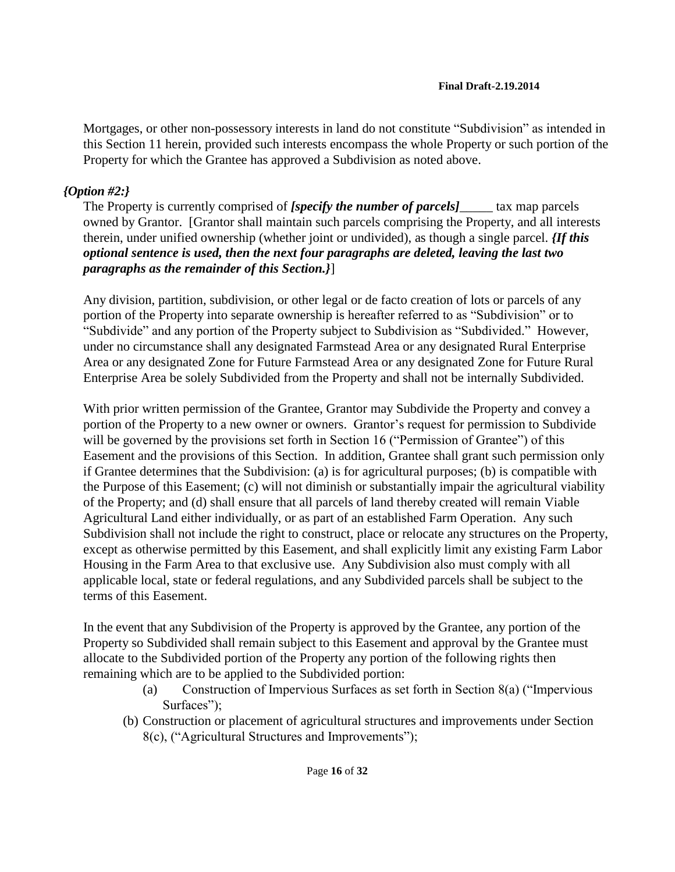Mortgages, or other non-possessory interests in land do not constitute "Subdivision" as intended in this Section 11 herein, provided such interests encompass the whole Property or such portion of the Property for which the Grantee has approved a Subdivision as noted above.

## *{Option #2:}*

The Property is currently comprised of *[specify the number of parcels]* tax map parcels owned by Grantor. [Grantor shall maintain such parcels comprising the Property, and all interests therein, under unified ownership (whether joint or undivided), as though a single parcel. *{If this optional sentence is used, then the next four paragraphs are deleted, leaving the last two paragraphs as the remainder of this Section.}*]

Any division, partition, subdivision, or other legal or de facto creation of lots or parcels of any portion of the Property into separate ownership is hereafter referred to as "Subdivision" or to "Subdivide" and any portion of the Property subject to Subdivision as "Subdivided." However, under no circumstance shall any designated Farmstead Area or any designated Rural Enterprise Area or any designated Zone for Future Farmstead Area or any designated Zone for Future Rural Enterprise Area be solely Subdivided from the Property and shall not be internally Subdivided.

With prior written permission of the Grantee, Grantor may Subdivide the Property and convey a portion of the Property to a new owner or owners. Grantor's request for permission to Subdivide will be governed by the provisions set forth in Section 16 ("Permission of Grantee") of this Easement and the provisions of this Section. In addition, Grantee shall grant such permission only if Grantee determines that the Subdivision: (a) is for agricultural purposes; (b) is compatible with the Purpose of this Easement; (c) will not diminish or substantially impair the agricultural viability of the Property; and (d) shall ensure that all parcels of land thereby created will remain Viable Agricultural Land either individually, or as part of an established Farm Operation. Any such Subdivision shall not include the right to construct, place or relocate any structures on the Property, except as otherwise permitted by this Easement, and shall explicitly limit any existing Farm Labor Housing in the Farm Area to that exclusive use. Any Subdivision also must comply with all applicable local, state or federal regulations, and any Subdivided parcels shall be subject to the terms of this Easement.

In the event that any Subdivision of the Property is approved by the Grantee, any portion of the Property so Subdivided shall remain subject to this Easement and approval by the Grantee must allocate to the Subdivided portion of the Property any portion of the following rights then remaining which are to be applied to the Subdivided portion:

- (a) Construction of Impervious Surfaces as set forth in Section 8(a) ("Impervious Surfaces"):
- (b) Construction or placement of agricultural structures and improvements under Section 8(c), ("Agricultural Structures and Improvements");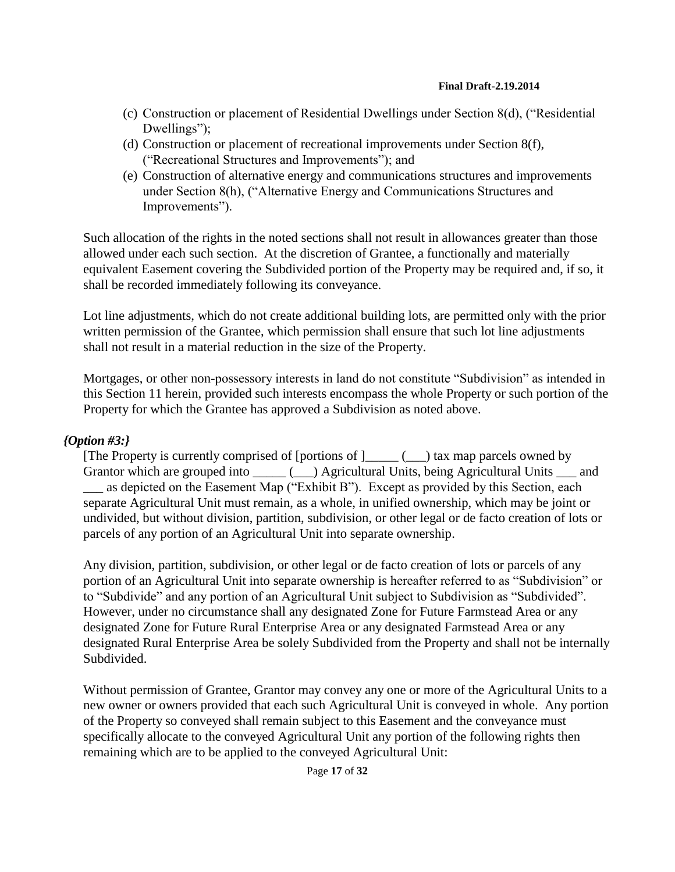- (c) Construction or placement of Residential Dwellings under Section 8(d), ("Residential Dwellings"):
- (d) Construction or placement of recreational improvements under Section 8(f), ("Recreational Structures and Improvements"); and
- (e) Construction of alternative energy and communications structures and improvements under Section 8(h), ("Alternative Energy and Communications Structures and Improvements").

Such allocation of the rights in the noted sections shall not result in allowances greater than those allowed under each such section. At the discretion of Grantee, a functionally and materially equivalent Easement covering the Subdivided portion of the Property may be required and, if so, it shall be recorded immediately following its conveyance.

Lot line adjustments, which do not create additional building lots, are permitted only with the prior written permission of the Grantee, which permission shall ensure that such lot line adjustments shall not result in a material reduction in the size of the Property.

Mortgages, or other non-possessory interests in land do not constitute "Subdivision" as intended in this Section 11 herein, provided such interests encompass the whole Property or such portion of the Property for which the Grantee has approved a Subdivision as noted above.

### *{Option #3:}*

[The Property is currently comprised of [portions of ]\_\_\_\_\_ (\_\_\_) tax map parcels owned by Grantor which are grouped into \_\_\_\_\_ (\_\_\_) Agricultural Units, being Agricultural Units \_\_\_ and \_\_\_ as depicted on the Easement Map ("Exhibit B"). Except as provided by this Section, each separate Agricultural Unit must remain, as a whole, in unified ownership, which may be joint or undivided, but without division, partition, subdivision, or other legal or de facto creation of lots or parcels of any portion of an Agricultural Unit into separate ownership.

Any division, partition, subdivision, or other legal or de facto creation of lots or parcels of any portion of an Agricultural Unit into separate ownership is hereafter referred to as "Subdivision" or to "Subdivide" and any portion of an Agricultural Unit subject to Subdivision as "Subdivided". However, under no circumstance shall any designated Zone for Future Farmstead Area or any designated Zone for Future Rural Enterprise Area or any designated Farmstead Area or any designated Rural Enterprise Area be solely Subdivided from the Property and shall not be internally Subdivided.

Without permission of Grantee, Grantor may convey any one or more of the Agricultural Units to a new owner or owners provided that each such Agricultural Unit is conveyed in whole. Any portion of the Property so conveyed shall remain subject to this Easement and the conveyance must specifically allocate to the conveyed Agricultural Unit any portion of the following rights then remaining which are to be applied to the conveyed Agricultural Unit: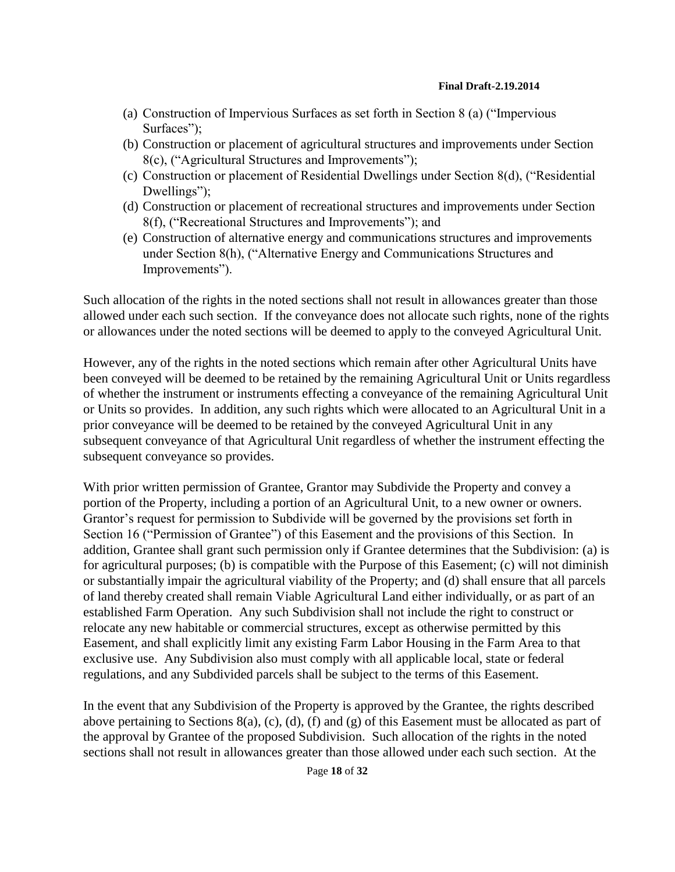- (a) Construction of Impervious Surfaces as set forth in Section 8 (a) ("Impervious Surfaces");
- (b) Construction or placement of agricultural structures and improvements under Section 8(c), ("Agricultural Structures and Improvements");
- (c) Construction or placement of Residential Dwellings under Section 8(d), ("Residential Dwellings");
- (d) Construction or placement of recreational structures and improvements under Section 8(f), ("Recreational Structures and Improvements"); and
- (e) Construction of alternative energy and communications structures and improvements under Section 8(h), ("Alternative Energy and Communications Structures and Improvements").

Such allocation of the rights in the noted sections shall not result in allowances greater than those allowed under each such section. If the conveyance does not allocate such rights, none of the rights or allowances under the noted sections will be deemed to apply to the conveyed Agricultural Unit.

However, any of the rights in the noted sections which remain after other Agricultural Units have been conveyed will be deemed to be retained by the remaining Agricultural Unit or Units regardless of whether the instrument or instruments effecting a conveyance of the remaining Agricultural Unit or Units so provides. In addition, any such rights which were allocated to an Agricultural Unit in a prior conveyance will be deemed to be retained by the conveyed Agricultural Unit in any subsequent conveyance of that Agricultural Unit regardless of whether the instrument effecting the subsequent conveyance so provides.

With prior written permission of Grantee, Grantor may Subdivide the Property and convey a portion of the Property, including a portion of an Agricultural Unit, to a new owner or owners. Grantor's request for permission to Subdivide will be governed by the provisions set forth in Section 16 ("Permission of Grantee") of this Easement and the provisions of this Section. In addition, Grantee shall grant such permission only if Grantee determines that the Subdivision: (a) is for agricultural purposes; (b) is compatible with the Purpose of this Easement; (c) will not diminish or substantially impair the agricultural viability of the Property; and (d) shall ensure that all parcels of land thereby created shall remain Viable Agricultural Land either individually, or as part of an established Farm Operation. Any such Subdivision shall not include the right to construct or relocate any new habitable or commercial structures, except as otherwise permitted by this Easement, and shall explicitly limit any existing Farm Labor Housing in the Farm Area to that exclusive use. Any Subdivision also must comply with all applicable local, state or federal regulations, and any Subdivided parcels shall be subject to the terms of this Easement.

In the event that any Subdivision of the Property is approved by the Grantee, the rights described above pertaining to Sections 8(a), (c), (d), (f) and (g) of this Easement must be allocated as part of the approval by Grantee of the proposed Subdivision. Such allocation of the rights in the noted sections shall not result in allowances greater than those allowed under each such section. At the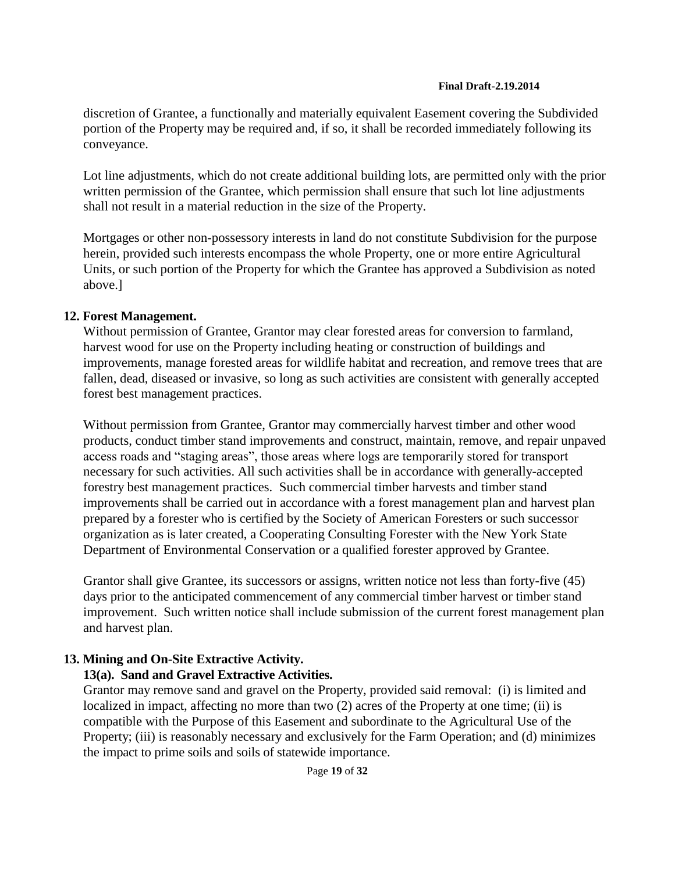discretion of Grantee, a functionally and materially equivalent Easement covering the Subdivided portion of the Property may be required and, if so, it shall be recorded immediately following its conveyance.

Lot line adjustments, which do not create additional building lots, are permitted only with the prior written permission of the Grantee, which permission shall ensure that such lot line adjustments shall not result in a material reduction in the size of the Property.

Mortgages or other non-possessory interests in land do not constitute Subdivision for the purpose herein, provided such interests encompass the whole Property, one or more entire Agricultural Units, or such portion of the Property for which the Grantee has approved a Subdivision as noted above.]

### **12. Forest Management.**

Without permission of Grantee, Grantor may clear forested areas for conversion to farmland, harvest wood for use on the Property including heating or construction of buildings and improvements, manage forested areas for wildlife habitat and recreation, and remove trees that are fallen, dead, diseased or invasive, so long as such activities are consistent with generally accepted forest best management practices.

Without permission from Grantee, Grantor may commercially harvest timber and other wood products, conduct timber stand improvements and construct, maintain, remove, and repair unpaved access roads and "staging areas", those areas where logs are temporarily stored for transport necessary for such activities. All such activities shall be in accordance with generally-accepted forestry best management practices. Such commercial timber harvests and timber stand improvements shall be carried out in accordance with a forest management plan and harvest plan prepared by a forester who is certified by the Society of American Foresters or such successor organization as is later created, a Cooperating Consulting Forester with the New York State Department of Environmental Conservation or a qualified forester approved by Grantee.

Grantor shall give Grantee, its successors or assigns, written notice not less than forty-five (45) days prior to the anticipated commencement of any commercial timber harvest or timber stand improvement. Such written notice shall include submission of the current forest management plan and harvest plan.

### **13. Mining and On-Site Extractive Activity.**

### **13(a). Sand and Gravel Extractive Activities.**

Grantor may remove sand and gravel on the Property, provided said removal: (i) is limited and localized in impact, affecting no more than two (2) acres of the Property at one time; (ii) is compatible with the Purpose of this Easement and subordinate to the Agricultural Use of the Property; (iii) is reasonably necessary and exclusively for the Farm Operation; and (d) minimizes the impact to prime soils and soils of statewide importance.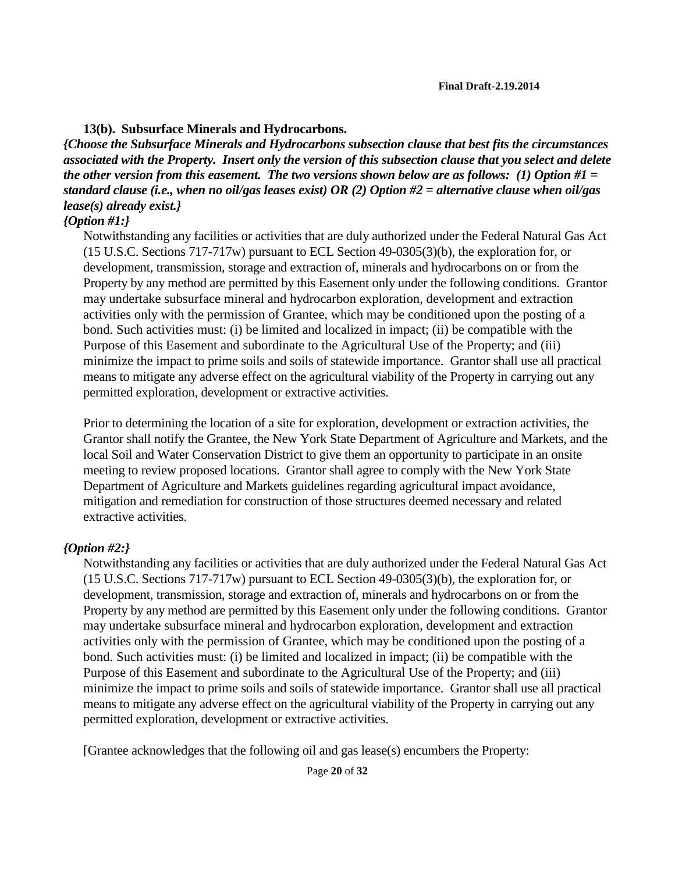#### **13(b). Subsurface Minerals and Hydrocarbons.**

*{Choose the Subsurface Minerals and Hydrocarbons subsection clause that best fits the circumstances associated with the Property. Insert only the version of this subsection clause that you select and delete the other version from this easement. The two versions shown below are as follows: (1) Option #1 = standard clause (i.e., when no oil/gas leases exist) OR (2) Option #2 = alternative clause when oil/gas lease(s) already exist.}*

### *{Option #1:}*

Notwithstanding any facilities or activities that are duly authorized under the Federal Natural Gas Act (15 U.S.C. Sections 717-717w) pursuant to ECL Section 49-0305(3)(b), the exploration for, or development, transmission, storage and extraction of, minerals and hydrocarbons on or from the Property by any method are permitted by this Easement only under the following conditions. Grantor may undertake subsurface mineral and hydrocarbon exploration, development and extraction activities only with the permission of Grantee, which may be conditioned upon the posting of a bond. Such activities must: (i) be limited and localized in impact; (ii) be compatible with the Purpose of this Easement and subordinate to the Agricultural Use of the Property; and (iii) minimize the impact to prime soils and soils of statewide importance. Grantor shall use all practical means to mitigate any adverse effect on the agricultural viability of the Property in carrying out any permitted exploration, development or extractive activities.

Prior to determining the location of a site for exploration, development or extraction activities, the Grantor shall notify the Grantee, the New York State Department of Agriculture and Markets, and the local Soil and Water Conservation District to give them an opportunity to participate in an onsite meeting to review proposed locations. Grantor shall agree to comply with the New York State Department of Agriculture and Markets guidelines regarding agricultural impact avoidance, mitigation and remediation for construction of those structures deemed necessary and related extractive activities.

### *{Option #2:}*

Notwithstanding any facilities or activities that are duly authorized under the Federal Natural Gas Act (15 U.S.C. Sections 717-717w) pursuant to ECL Section 49-0305(3)(b), the exploration for, or development, transmission, storage and extraction of, minerals and hydrocarbons on or from the Property by any method are permitted by this Easement only under the following conditions. Grantor may undertake subsurface mineral and hydrocarbon exploration, development and extraction activities only with the permission of Grantee, which may be conditioned upon the posting of a bond. Such activities must: (i) be limited and localized in impact; (ii) be compatible with the Purpose of this Easement and subordinate to the Agricultural Use of the Property; and (iii) minimize the impact to prime soils and soils of statewide importance. Grantor shall use all practical means to mitigate any adverse effect on the agricultural viability of the Property in carrying out any permitted exploration, development or extractive activities.

[Grantee acknowledges that the following oil and gas lease(s) encumbers the Property: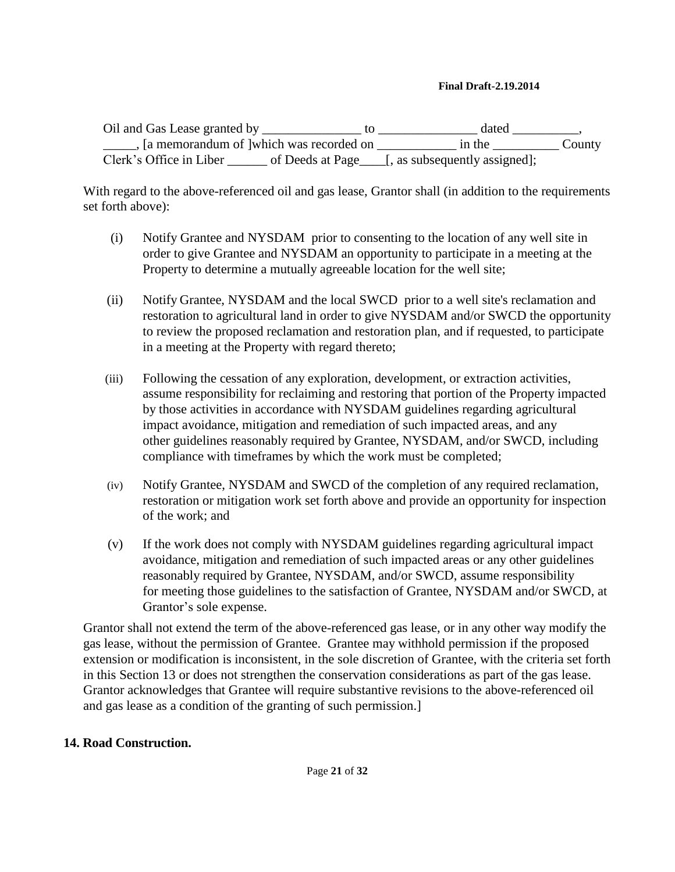Oil and Gas Lease granted by \_\_\_\_\_\_\_\_\_\_\_\_\_\_\_\_ to \_\_\_\_\_\_\_\_\_\_\_\_\_\_\_\_\_ dated \_\_\_\_\_\_\_\_\_, \_\_\_\_\_, [a memorandum of ]which was recorded on \_\_\_\_\_\_\_\_\_\_\_\_ in the \_\_\_\_\_\_\_\_\_\_ County Clerk's Office in Liber of Deeds at Page [, as subsequently assigned];

With regard to the above-referenced oil and gas lease, Grantor shall (in addition to the requirements set forth above):

- (i) Notify Grantee and NYSDAM prior to consenting to the location of any well site in order to give Grantee and NYSDAM an opportunity to participate in a meeting at the Property to determine a mutually agreeable location for the well site;
- (ii) Notify Grantee, NYSDAM and the local SWCD prior to a well site's reclamation and restoration to agricultural land in order to give NYSDAM and/or SWCD the opportunity to review the proposed reclamation and restoration plan, and if requested, to participate in a meeting at the Property with regard thereto;
- (iii) Following the cessation of any exploration, development, or extraction activities, assume responsibility for reclaiming and restoring that portion of the Property impacted by those activities in accordance with NYSDAM guidelines regarding agricultural impact avoidance, mitigation and remediation of such impacted areas, and any other guidelines reasonably required by Grantee, NYSDAM, and/or SWCD, including compliance with timeframes by which the work must be completed;
- (iv) Notify Grantee, NYSDAM and SWCD of the completion of any required reclamation, restoration or mitigation work set forth above and provide an opportunity for inspection of the work; and
- (v) If the work does not comply with NYSDAM guidelines regarding agricultural impact avoidance, mitigation and remediation of such impacted areas or any other guidelines reasonably required by Grantee, NYSDAM, and/or SWCD, assume responsibility for meeting those guidelines to the satisfaction of Grantee, NYSDAM and/or SWCD, at Grantor's sole expense.

Grantor shall not extend the term of the above-referenced gas lease, or in any other way modify the gas lease, without the permission of Grantee. Grantee may withhold permission if the proposed extension or modification is inconsistent, in the sole discretion of Grantee, with the criteria set forth in this Section 13 or does not strengthen the conservation considerations as part of the gas lease. Grantor acknowledges that Grantee will require substantive revisions to the above-referenced oil and gas lease as a condition of the granting of such permission.]

### **14. Road Construction.**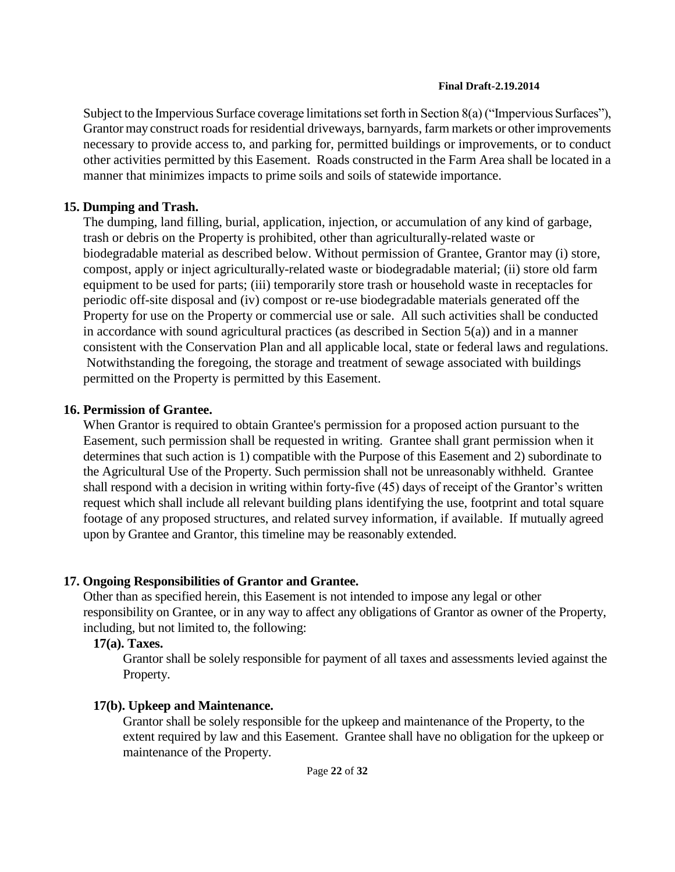Subject to the Impervious Surface coverage limitations set forth in Section 8(a) ("Impervious Surfaces"), Grantor may construct roads for residential driveways, barnyards, farm markets or other improvements necessary to provide access to, and parking for, permitted buildings or improvements, or to conduct other activities permitted by this Easement. Roads constructed in the Farm Area shall be located in a manner that minimizes impacts to prime soils and soils of statewide importance.

## **15. Dumping and Trash.**

The dumping, land filling, burial, application, injection, or accumulation of any kind of garbage, trash or debris on the Property is prohibited, other than agriculturally-related waste or biodegradable material as described below. Without permission of Grantee, Grantor may (i) store, compost, apply or inject agriculturally-related waste or biodegradable material; (ii) store old farm equipment to be used for parts; (iii) temporarily store trash or household waste in receptacles for periodic off-site disposal and (iv) compost or re-use biodegradable materials generated off the Property for use on the Property or commercial use or sale. All such activities shall be conducted in accordance with sound agricultural practices (as described in Section  $5(a)$ ) and in a manner consistent with the Conservation Plan and all applicable local, state or federal laws and regulations. Notwithstanding the foregoing, the storage and treatment of sewage associated with buildings permitted on the Property is permitted by this Easement.

## **16. Permission of Grantee.**

When Grantor is required to obtain Grantee's permission for a proposed action pursuant to the Easement, such permission shall be requested in writing. Grantee shall grant permission when it determines that such action is 1) compatible with the Purpose of this Easement and 2) subordinate to the Agricultural Use of the Property. Such permission shall not be unreasonably withheld. Grantee shall respond with a decision in writing within forty-five (45) days of receipt of the Grantor's written request which shall include all relevant building plans identifying the use, footprint and total square footage of any proposed structures, and related survey information, if available. If mutually agreed upon by Grantee and Grantor, this timeline may be reasonably extended.

## **17. Ongoing Responsibilities of Grantor and Grantee.**

Other than as specified herein, this Easement is not intended to impose any legal or other responsibility on Grantee, or in any way to affect any obligations of Grantor as owner of the Property, including, but not limited to, the following:

## **17(a). Taxes.**

Grantor shall be solely responsible for payment of all taxes and assessments levied against the Property.

## **17(b). Upkeep and Maintenance.**

Grantor shall be solely responsible for the upkeep and maintenance of the Property, to the extent required by law and this Easement. Grantee shall have no obligation for the upkeep or maintenance of the Property.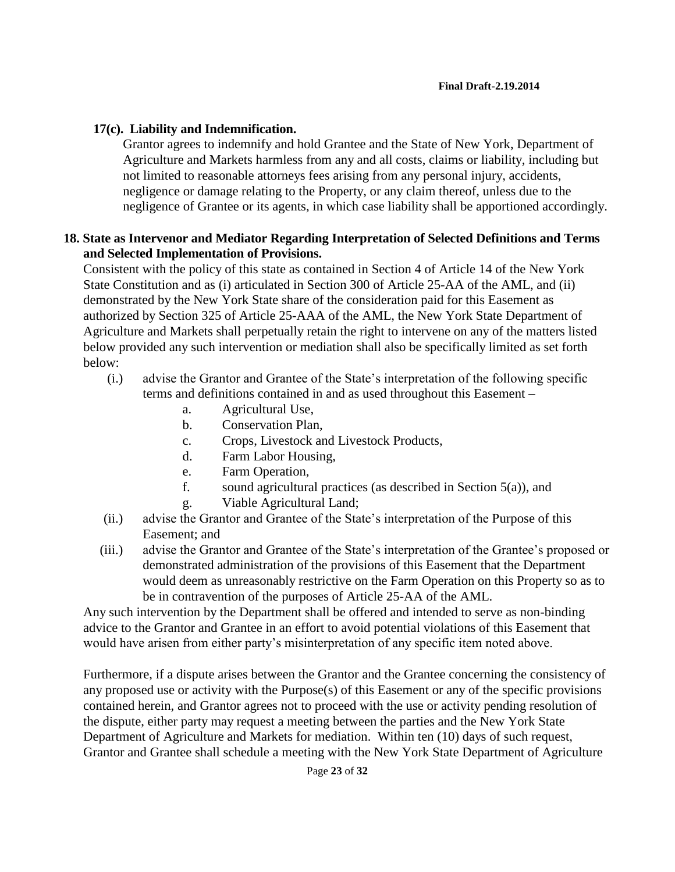## **17(c). Liability and Indemnification.**

Grantor agrees to indemnify and hold Grantee and the State of New York, Department of Agriculture and Markets harmless from any and all costs, claims or liability, including but not limited to reasonable attorneys fees arising from any personal injury, accidents, negligence or damage relating to the Property, or any claim thereof, unless due to the negligence of Grantee or its agents, in which case liability shall be apportioned accordingly.

## **18. State as Intervenor and Mediator Regarding Interpretation of Selected Definitions and Terms and Selected Implementation of Provisions.**

Consistent with the policy of this state as contained in Section 4 of Article 14 of the New York State Constitution and as (i) articulated in Section 300 of Article 25-AA of the AML, and (ii) demonstrated by the New York State share of the consideration paid for this Easement as authorized by Section 325 of Article 25-AAA of the AML, the New York State Department of Agriculture and Markets shall perpetually retain the right to intervene on any of the matters listed below provided any such intervention or mediation shall also be specifically limited as set forth below:

- (i.) advise the Grantor and Grantee of the State's interpretation of the following specific terms and definitions contained in and as used throughout this Easement –
	- a. Agricultural Use,
	- b. Conservation Plan,
	- c. Crops, Livestock and Livestock Products,
	- d. Farm Labor Housing,
	- e. Farm Operation,
	- f. sound agricultural practices (as described in Section  $5(a)$ ), and
	- g. Viable Agricultural Land;
- (ii.) advise the Grantor and Grantee of the State's interpretation of the Purpose of this Easement; and
- (iii.) advise the Grantor and Grantee of the State's interpretation of the Grantee's proposed or demonstrated administration of the provisions of this Easement that the Department would deem as unreasonably restrictive on the Farm Operation on this Property so as to be in contravention of the purposes of Article 25-AA of the AML.

Any such intervention by the Department shall be offered and intended to serve as non-binding advice to the Grantor and Grantee in an effort to avoid potential violations of this Easement that would have arisen from either party's misinterpretation of any specific item noted above.

Furthermore, if a dispute arises between the Grantor and the Grantee concerning the consistency of any proposed use or activity with the Purpose(s) of this Easement or any of the specific provisions contained herein, and Grantor agrees not to proceed with the use or activity pending resolution of the dispute, either party may request a meeting between the parties and the New York State Department of Agriculture and Markets for mediation. Within ten (10) days of such request, Grantor and Grantee shall schedule a meeting with the New York State Department of Agriculture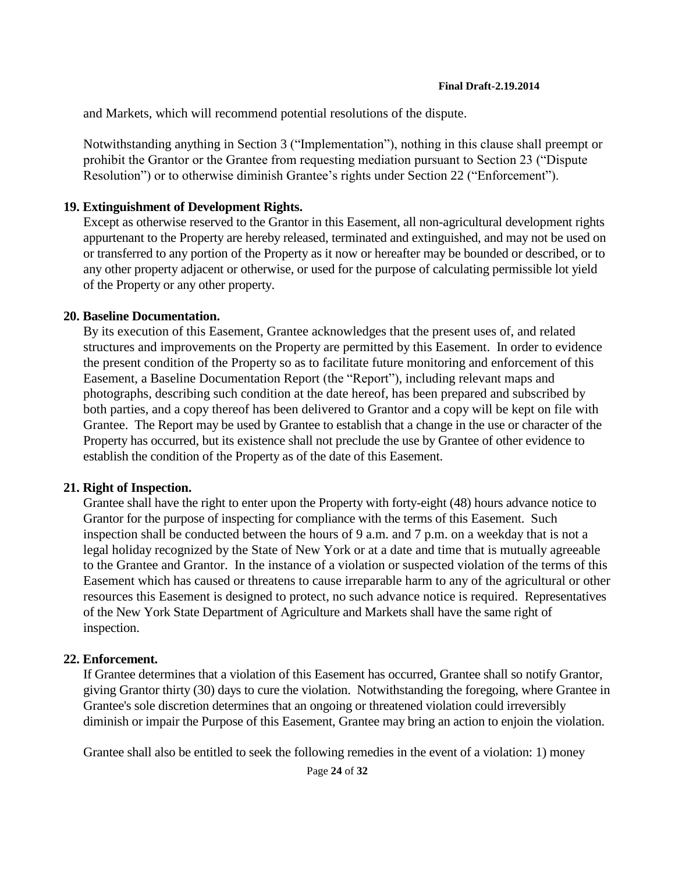and Markets, which will recommend potential resolutions of the dispute.

Notwithstanding anything in Section 3 ("Implementation"), nothing in this clause shall preempt or prohibit the Grantor or the Grantee from requesting mediation pursuant to Section 23 ("Dispute Resolution") or to otherwise diminish Grantee's rights under Section 22 ("Enforcement").

### **19. Extinguishment of Development Rights.**

Except as otherwise reserved to the Grantor in this Easement, all non-agricultural development rights appurtenant to the Property are hereby released, terminated and extinguished, and may not be used on or transferred to any portion of the Property as it now or hereafter may be bounded or described, or to any other property adjacent or otherwise, or used for the purpose of calculating permissible lot yield of the Property or any other property.

#### **20. Baseline Documentation.**

By its execution of this Easement, Grantee acknowledges that the present uses of, and related structures and improvements on the Property are permitted by this Easement. In order to evidence the present condition of the Property so as to facilitate future monitoring and enforcement of this Easement, a Baseline Documentation Report (the "Report"), including relevant maps and photographs, describing such condition at the date hereof, has been prepared and subscribed by both parties, and a copy thereof has been delivered to Grantor and a copy will be kept on file with Grantee. The Report may be used by Grantee to establish that a change in the use or character of the Property has occurred, but its existence shall not preclude the use by Grantee of other evidence to establish the condition of the Property as of the date of this Easement.

### **21. Right of Inspection.**

Grantee shall have the right to enter upon the Property with forty-eight (48) hours advance notice to Grantor for the purpose of inspecting for compliance with the terms of this Easement. Such inspection shall be conducted between the hours of 9 a.m. and 7 p.m. on a weekday that is not a legal holiday recognized by the State of New York or at a date and time that is mutually agreeable to the Grantee and Grantor. In the instance of a violation or suspected violation of the terms of this Easement which has caused or threatens to cause irreparable harm to any of the agricultural or other resources this Easement is designed to protect, no such advance notice is required. Representatives of the New York State Department of Agriculture and Markets shall have the same right of inspection.

### **22. Enforcement.**

If Grantee determines that a violation of this Easement has occurred, Grantee shall so notify Grantor, giving Grantor thirty (30) days to cure the violation. Notwithstanding the foregoing, where Grantee in Grantee's sole discretion determines that an ongoing or threatened violation could irreversibly diminish or impair the Purpose of this Easement, Grantee may bring an action to enjoin the violation.

Grantee shall also be entitled to seek the following remedies in the event of a violation: 1) money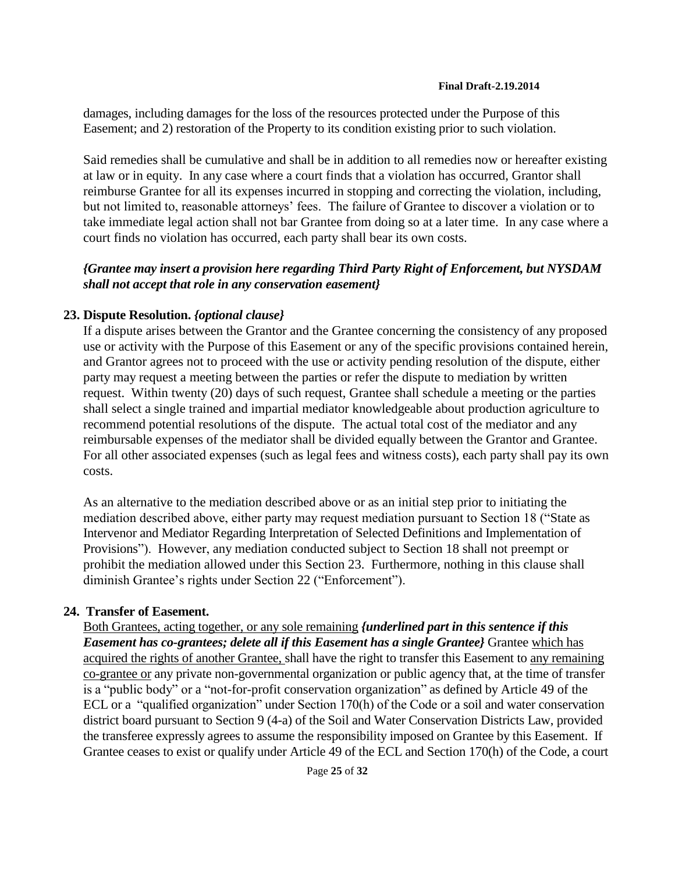damages, including damages for the loss of the resources protected under the Purpose of this Easement; and 2) restoration of the Property to its condition existing prior to such violation.

Said remedies shall be cumulative and shall be in addition to all remedies now or hereafter existing at law or in equity. In any case where a court finds that a violation has occurred, Grantor shall reimburse Grantee for all its expenses incurred in stopping and correcting the violation, including, but not limited to, reasonable attorneys' fees. The failure of Grantee to discover a violation or to take immediate legal action shall not bar Grantee from doing so at a later time. In any case where a court finds no violation has occurred, each party shall bear its own costs.

### *{Grantee may insert a provision here regarding Third Party Right of Enforcement, but NYSDAM shall not accept that role in any conservation easement}*

### **23. Dispute Resolution.** *{optional clause}*

If a dispute arises between the Grantor and the Grantee concerning the consistency of any proposed use or activity with the Purpose of this Easement or any of the specific provisions contained herein, and Grantor agrees not to proceed with the use or activity pending resolution of the dispute, either party may request a meeting between the parties or refer the dispute to mediation by written request. Within twenty (20) days of such request, Grantee shall schedule a meeting or the parties shall select a single trained and impartial mediator knowledgeable about production agriculture to recommend potential resolutions of the dispute. The actual total cost of the mediator and any reimbursable expenses of the mediator shall be divided equally between the Grantor and Grantee. For all other associated expenses (such as legal fees and witness costs), each party shall pay its own costs.

As an alternative to the mediation described above or as an initial step prior to initiating the mediation described above, either party may request mediation pursuant to Section 18 ("State as Intervenor and Mediator Regarding Interpretation of Selected Definitions and Implementation of Provisions"). However, any mediation conducted subject to Section 18 shall not preempt or prohibit the mediation allowed under this Section 23. Furthermore, nothing in this clause shall diminish Grantee's rights under Section 22 ("Enforcement").

### **24. Transfer of Easement.**

Both Grantees, acting together, or any sole remaining *{underlined part in this sentence if this Easement has co-grantees; delete all if this Easement has a single Grantee}* Grantee which has acquired the rights of another Grantee, shall have the right to transfer this Easement to any remaining co-grantee or any private non-governmental organization or public agency that, at the time of transfer is a "public body" or a "not-for-profit conservation organization" as defined by Article 49 of the ECL or a "qualified organization" under Section 170(h) of the Code or a soil and water conservation district board pursuant to Section 9 (4-a) of the Soil and Water Conservation Districts Law, provided the transferee expressly agrees to assume the responsibility imposed on Grantee by this Easement. If Grantee ceases to exist or qualify under Article 49 of the ECL and Section 170(h) of the Code, a court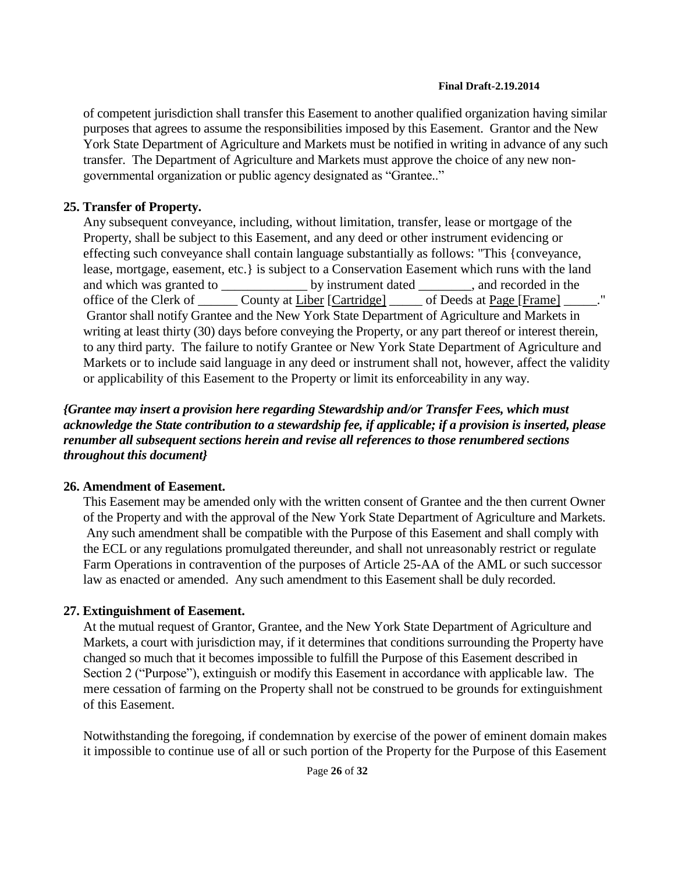of competent jurisdiction shall transfer this Easement to another qualified organization having similar purposes that agrees to assume the responsibilities imposed by this Easement. Grantor and the New York State Department of Agriculture and Markets must be notified in writing in advance of any such transfer. The Department of Agriculture and Markets must approve the choice of any new nongovernmental organization or public agency designated as "Grantee.."

### **25. Transfer of Property.**

Any subsequent conveyance, including, without limitation, transfer, lease or mortgage of the Property, shall be subject to this Easement, and any deed or other instrument evidencing or effecting such conveyance shall contain language substantially as follows: "This {conveyance, lease, mortgage, easement, etc.} is subject to a Conservation Easement which runs with the land and which was granted to \_\_\_\_\_\_\_\_\_\_\_\_\_\_\_\_ by instrument dated \_\_\_\_\_\_\_\_, and recorded in the office of the Clerk of \_\_\_\_\_\_\_ County at Liber [Cartridge] \_\_\_\_\_\_ of Deeds at Page [Frame] Grantor shall notify Grantee and the New York State Department of Agriculture and Markets in writing at least thirty (30) days before conveying the Property, or any part thereof or interest therein, to any third party. The failure to notify Grantee or New York State Department of Agriculture and Markets or to include said language in any deed or instrument shall not, however, affect the validity or applicability of this Easement to the Property or limit its enforceability in any way.

*{Grantee may insert a provision here regarding Stewardship and/or Transfer Fees, which must acknowledge the State contribution to a stewardship fee, if applicable; if a provision is inserted, please renumber all subsequent sections herein and revise all references to those renumbered sections throughout this document}*

### **26. Amendment of Easement.**

This Easement may be amended only with the written consent of Grantee and the then current Owner of the Property and with the approval of the New York State Department of Agriculture and Markets. Any such amendment shall be compatible with the Purpose of this Easement and shall comply with the ECL or any regulations promulgated thereunder, and shall not unreasonably restrict or regulate Farm Operations in contravention of the purposes of Article 25-AA of the AML or such successor law as enacted or amended. Any such amendment to this Easement shall be duly recorded.

## **27. Extinguishment of Easement.**

At the mutual request of Grantor, Grantee, and the New York State Department of Agriculture and Markets, a court with jurisdiction may, if it determines that conditions surrounding the Property have changed so much that it becomes impossible to fulfill the Purpose of this Easement described in Section 2 ("Purpose"), extinguish or modify this Easement in accordance with applicable law. The mere cessation of farming on the Property shall not be construed to be grounds for extinguishment of this Easement.

Notwithstanding the foregoing, if condemnation by exercise of the power of eminent domain makes it impossible to continue use of all or such portion of the Property for the Purpose of this Easement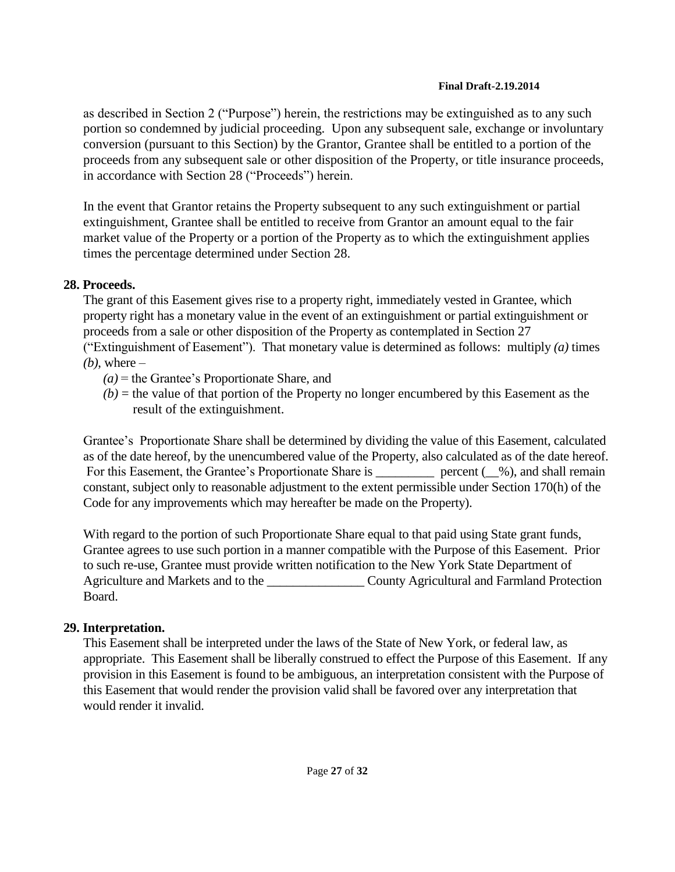as described in Section 2 ("Purpose") herein, the restrictions may be extinguished as to any such portion so condemned by judicial proceeding. Upon any subsequent sale, exchange or involuntary conversion (pursuant to this Section) by the Grantor, Grantee shall be entitled to a portion of the proceeds from any subsequent sale or other disposition of the Property, or title insurance proceeds, in accordance with Section 28 ("Proceeds") herein.

In the event that Grantor retains the Property subsequent to any such extinguishment or partial extinguishment, Grantee shall be entitled to receive from Grantor an amount equal to the fair market value of the Property or a portion of the Property as to which the extinguishment applies times the percentage determined under Section 28.

## **28. Proceeds.**

The grant of this Easement gives rise to a property right, immediately vested in Grantee, which property right has a monetary value in the event of an extinguishment or partial extinguishment or proceeds from a sale or other disposition of the Property as contemplated in Section 27 ("Extinguishment of Easement"). That monetary value is determined as follows: multiply *(a)* times  $(b)$ , where –

- *(a)* = the Grantee's Proportionate Share, and
- $(b)$  = the value of that portion of the Property no longer encumbered by this Easement as the result of the extinguishment.

Grantee's Proportionate Share shall be determined by dividing the value of this Easement, calculated as of the date hereof, by the unencumbered value of the Property, also calculated as of the date hereof. For this Easement, the Grantee's Proportionate Share is \_\_\_\_\_\_\_\_\_\_\_\_ percent (\_\_%), and shall remain constant, subject only to reasonable adjustment to the extent permissible under Section 170(h) of the Code for any improvements which may hereafter be made on the Property).

With regard to the portion of such Proportionate Share equal to that paid using State grant funds, Grantee agrees to use such portion in a manner compatible with the Purpose of this Easement. Prior to such re-use, Grantee must provide written notification to the New York State Department of Agriculture and Markets and to the \_\_\_\_\_\_\_\_\_\_\_\_\_\_\_\_\_\_\_\_\_\_ County Agricultural and Farmland Protection Board.

# **29. Interpretation.**

This Easement shall be interpreted under the laws of the State of New York, or federal law, as appropriate. This Easement shall be liberally construed to effect the Purpose of this Easement. If any provision in this Easement is found to be ambiguous, an interpretation consistent with the Purpose of this Easement that would render the provision valid shall be favored over any interpretation that would render it invalid.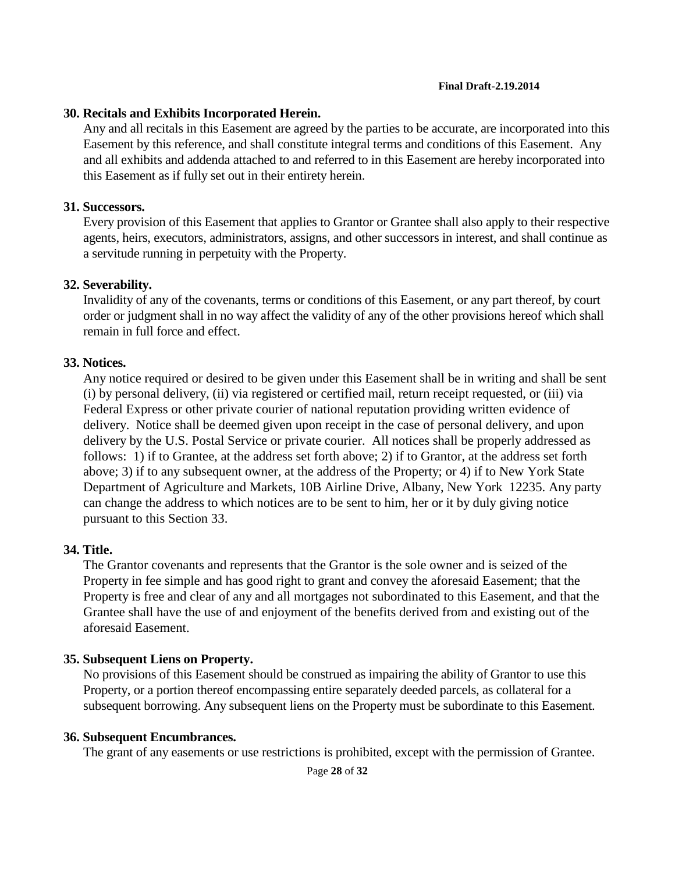### **30. Recitals and Exhibits Incorporated Herein.**

Any and all recitals in this Easement are agreed by the parties to be accurate, are incorporated into this Easement by this reference, and shall constitute integral terms and conditions of this Easement. Any and all exhibits and addenda attached to and referred to in this Easement are hereby incorporated into this Easement as if fully set out in their entirety herein.

### **31. Successors.**

Every provision of this Easement that applies to Grantor or Grantee shall also apply to their respective agents, heirs, executors, administrators, assigns, and other successors in interest, and shall continue as a servitude running in perpetuity with the Property.

### **32. Severability.**

Invalidity of any of the covenants, terms or conditions of this Easement, or any part thereof, by court order or judgment shall in no way affect the validity of any of the other provisions hereof which shall remain in full force and effect.

### **33. Notices.**

Any notice required or desired to be given under this Easement shall be in writing and shall be sent (i) by personal delivery, (ii) via registered or certified mail, return receipt requested, or (iii) via Federal Express or other private courier of national reputation providing written evidence of delivery. Notice shall be deemed given upon receipt in the case of personal delivery, and upon delivery by the U.S. Postal Service or private courier. All notices shall be properly addressed as follows: 1) if to Grantee, at the address set forth above; 2) if to Grantor, at the address set forth above; 3) if to any subsequent owner, at the address of the Property; or 4) if to New York State Department of Agriculture and Markets, 10B Airline Drive, Albany, New York 12235. Any party can change the address to which notices are to be sent to him, her or it by duly giving notice pursuant to this Section 33.

### **34. Title.**

The Grantor covenants and represents that the Grantor is the sole owner and is seized of the Property in fee simple and has good right to grant and convey the aforesaid Easement; that the Property is free and clear of any and all mortgages not subordinated to this Easement, and that the Grantee shall have the use of and enjoyment of the benefits derived from and existing out of the aforesaid Easement.

### **35. Subsequent Liens on Property.**

No provisions of this Easement should be construed as impairing the ability of Grantor to use this Property, or a portion thereof encompassing entire separately deeded parcels, as collateral for a subsequent borrowing. Any subsequent liens on the Property must be subordinate to this Easement.

### **36. Subsequent Encumbrances.**

The grant of any easements or use restrictions is prohibited, except with the permission of Grantee.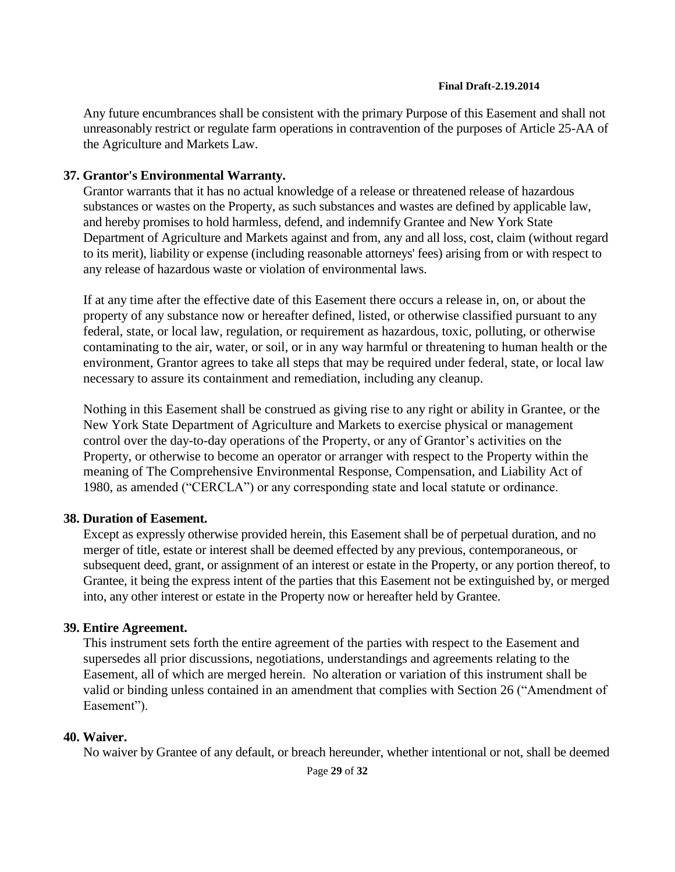Any future encumbrances shall be consistent with the primary Purpose of this Easement and shall not unreasonably restrict or regulate farm operations in contravention of the purposes of Article 25-AA of the Agriculture and Markets Law.

### **37. Grantor's Environmental Warranty.**

Grantor warrants that it has no actual knowledge of a release or threatened release of hazardous substances or wastes on the Property, as such substances and wastes are defined by applicable law, and hereby promises to hold harmless, defend, and indemnify Grantee and New York State Department of Agriculture and Markets against and from, any and all loss, cost, claim (without regard to its merit), liability or expense (including reasonable attorneys' fees) arising from or with respect to any release of hazardous waste or violation of environmental laws.

If at any time after the effective date of this Easement there occurs a release in, on, or about the property of any substance now or hereafter defined, listed, or otherwise classified pursuant to any federal, state, or local law, regulation, or requirement as hazardous, toxic, polluting, or otherwise contaminating to the air, water, or soil, or in any way harmful or threatening to human health or the environment, Grantor agrees to take all steps that may be required under federal, state, or local law necessary to assure its containment and remediation, including any cleanup.

Nothing in this Easement shall be construed as giving rise to any right or ability in Grantee, or the New York State Department of Agriculture and Markets to exercise physical or management control over the day-to-day operations of the Property, or any of Grantor's activities on the Property, or otherwise to become an operator or arranger with respect to the Property within the meaning of The Comprehensive Environmental Response, Compensation, and Liability Act of 1980, as amended ("CERCLA") or any corresponding state and local statute or ordinance.

### **38. Duration of Easement.**

Except as expressly otherwise provided herein, this Easement shall be of perpetual duration, and no merger of title, estate or interest shall be deemed effected by any previous, contemporaneous, or subsequent deed, grant, or assignment of an interest or estate in the Property, or any portion thereof, to Grantee, it being the express intent of the parties that this Easement not be extinguished by, or merged into, any other interest or estate in the Property now or hereafter held by Grantee.

### **39. Entire Agreement.**

This instrument sets forth the entire agreement of the parties with respect to the Easement and supersedes all prior discussions, negotiations, understandings and agreements relating to the Easement, all of which are merged herein. No alteration or variation of this instrument shall be valid or binding unless contained in an amendment that complies with Section 26 ("Amendment of Easement").

### **40. Waiver.**

No waiver by Grantee of any default, or breach hereunder, whether intentional or not, shall be deemed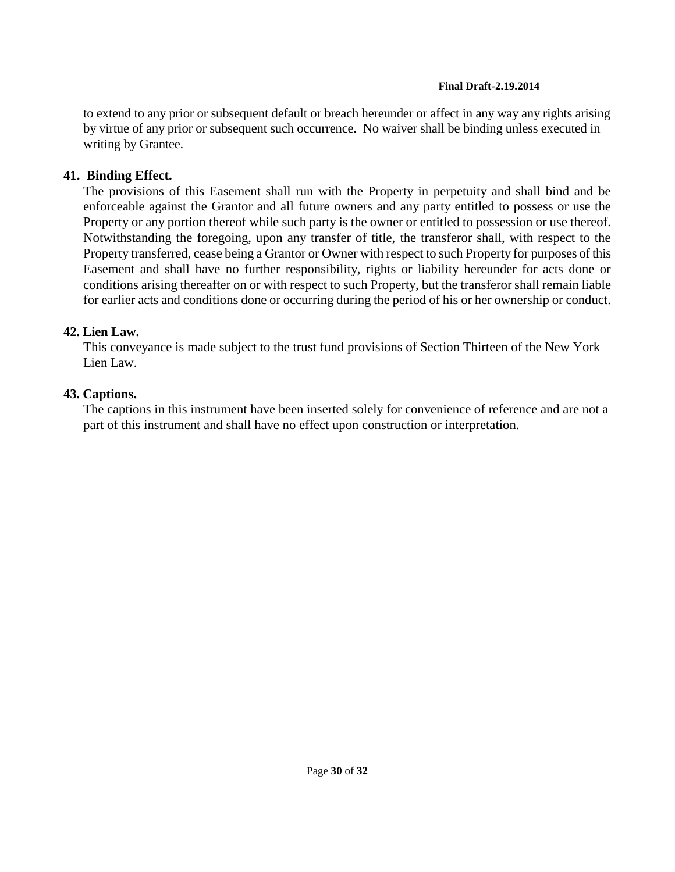to extend to any prior or subsequent default or breach hereunder or affect in any way any rights arising by virtue of any prior or subsequent such occurrence. No waiver shall be binding unless executed in writing by Grantee.

### **41. Binding Effect.**

The provisions of this Easement shall run with the Property in perpetuity and shall bind and be enforceable against the Grantor and all future owners and any party entitled to possess or use the Property or any portion thereof while such party is the owner or entitled to possession or use thereof. Notwithstanding the foregoing, upon any transfer of title, the transferor shall, with respect to the Property transferred, cease being a Grantor or Owner with respect to such Property for purposes of this Easement and shall have no further responsibility, rights or liability hereunder for acts done or conditions arising thereafter on or with respect to such Property, but the transferor shall remain liable for earlier acts and conditions done or occurring during the period of his or her ownership or conduct.

## **42. Lien Law.**

This conveyance is made subject to the trust fund provisions of Section Thirteen of the New York Lien Law.

## **43. Captions.**

The captions in this instrument have been inserted solely for convenience of reference and are not a part of this instrument and shall have no effect upon construction or interpretation.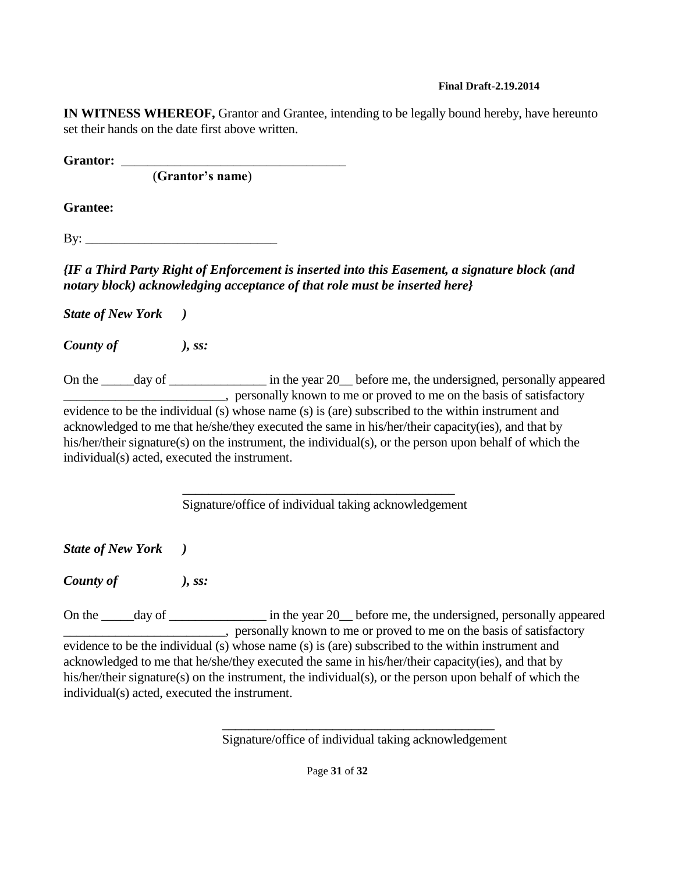**IN WITNESS WHEREOF,** Grantor and Grantee, intending to be legally bound hereby, have hereunto set their hands on the date first above written.

**Grantor:** \_\_\_\_\_\_\_\_\_\_\_\_\_\_\_\_\_\_\_\_\_\_\_\_\_\_\_\_\_\_\_\_\_\_

(**Grantor's name**)

**Grantee:**

 $Bv:$ 

*{IF a Third Party Right of Enforcement is inserted into this Easement, a signature block (and notary block) acknowledging acceptance of that role must be inserted here}*

*State of New York )*

*County of ), ss:*

On the \_\_\_\_\_day of \_\_\_\_\_\_\_\_\_\_\_\_\_\_\_\_\_\_ in the year 20\_\_ before me, the undersigned, personally appeared \_\_\_\_\_\_\_\_\_\_\_\_\_\_\_\_\_\_\_\_\_\_\_\_\_, personally known to me or proved to me on the basis of satisfactory evidence to be the individual (s) whose name (s) is (are) subscribed to the within instrument and acknowledged to me that he/she/they executed the same in his/her/their capacity(ies), and that by his/her/their signature(s) on the instrument, the individual(s), or the person upon behalf of which the individual(s) acted, executed the instrument.

> \_\_\_\_\_\_\_\_\_\_\_\_\_\_\_\_\_\_\_\_\_\_\_\_\_\_\_\_\_\_\_\_\_\_\_\_\_\_\_\_\_\_ Signature/office of individual taking acknowledgement

*State of New York )*

*County of ), ss:*

On the \_\_\_\_\_day of \_\_\_\_\_\_\_\_\_\_\_\_\_\_\_\_\_\_\_ in the year 20\_\_ before me, the undersigned, personally appeared **Example 2.1** Personally known to me or proved to me on the basis of satisfactory evidence to be the individual (s) whose name (s) is (are) subscribed to the within instrument and acknowledged to me that he/she/they executed the same in his/her/their capacity(ies), and that by his/her/their signature(s) on the instrument, the individual(s), or the person upon behalf of which the individual(s) acted, executed the instrument.

> **\_\_\_\_\_\_\_\_\_\_\_\_\_\_\_\_\_\_\_\_\_\_\_\_\_\_\_\_\_\_\_\_\_\_\_\_\_\_\_\_\_\_** Signature/office of individual taking acknowledgement

> > Page **31** of **32**